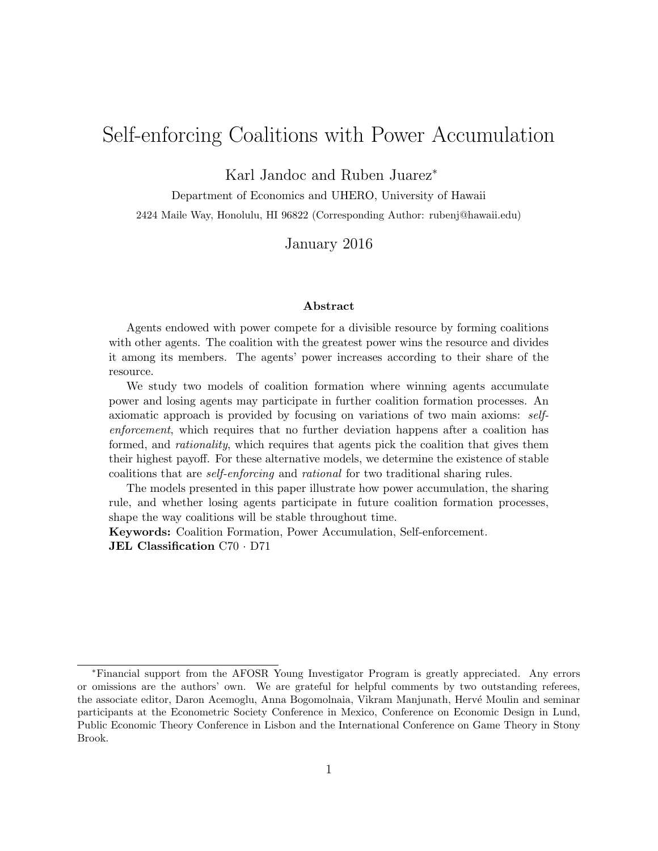# Self-enforcing Coalitions with Power Accumulation

Karl Jandoc and Ruben Juarez<sup>∗</sup>

Department of Economics and UHERO, University of Hawaii 2424 Maile Way, Honolulu, HI 96822 (Corresponding Author: rubenj@hawaii.edu)

January 2016

#### Abstract

Agents endowed with power compete for a divisible resource by forming coalitions with other agents. The coalition with the greatest power wins the resource and divides it among its members. The agents' power increases according to their share of the resource.

We study two models of coalition formation where winning agents accumulate power and losing agents may participate in further coalition formation processes. An axiomatic approach is provided by focusing on variations of two main axioms: selfenforcement, which requires that no further deviation happens after a coalition has formed, and *rationality*, which requires that agents pick the coalition that gives them their highest payoff. For these alternative models, we determine the existence of stable coalitions that are self-enforcing and rational for two traditional sharing rules.

The models presented in this paper illustrate how power accumulation, the sharing rule, and whether losing agents participate in future coalition formation processes, shape the way coalitions will be stable throughout time.

Keywords: Coalition Formation, Power Accumulation, Self-enforcement. JEL Classification C70 · D71

<sup>∗</sup>Financial support from the AFOSR Young Investigator Program is greatly appreciated. Any errors or omissions are the authors' own. We are grateful for helpful comments by two outstanding referees, the associate editor, Daron Acemoglu, Anna Bogomolnaia, Vikram Manjunath, Hervé Moulin and seminar participants at the Econometric Society Conference in Mexico, Conference on Economic Design in Lund, Public Economic Theory Conference in Lisbon and the International Conference on Game Theory in Stony Brook.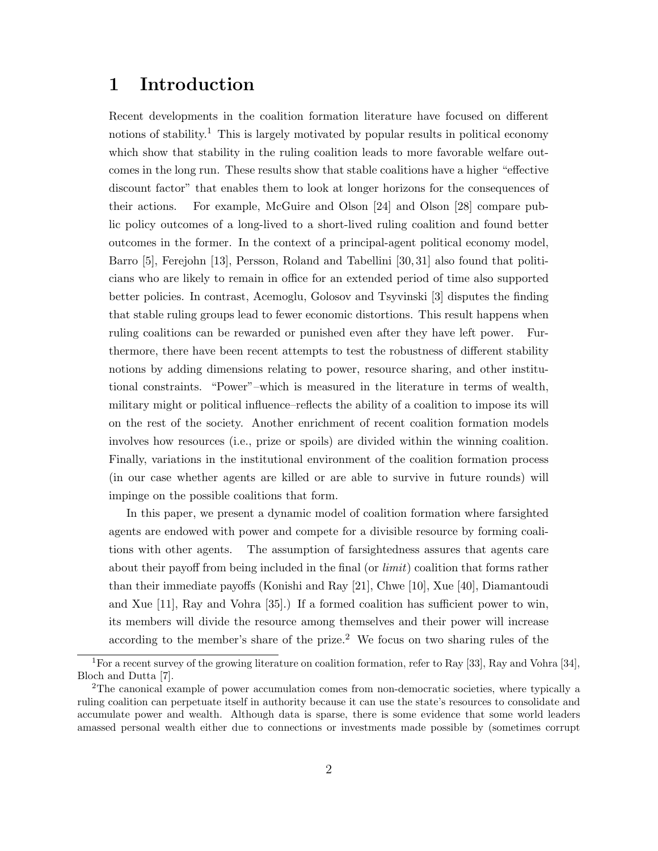# 1 Introduction

Recent developments in the coalition formation literature have focused on different notions of stability.<sup>1</sup> This is largely motivated by popular results in political economy which show that stability in the ruling coalition leads to more favorable welfare outcomes in the long run. These results show that stable coalitions have a higher "effective discount factor" that enables them to look at longer horizons for the consequences of their actions. For example, McGuire and Olson [24] and Olson [28] compare public policy outcomes of a long-lived to a short-lived ruling coalition and found better outcomes in the former. In the context of a principal-agent political economy model, Barro [5], Ferejohn [13], Persson, Roland and Tabellini [30, 31] also found that politicians who are likely to remain in office for an extended period of time also supported better policies. In contrast, Acemoglu, Golosov and Tsyvinski [3] disputes the finding that stable ruling groups lead to fewer economic distortions. This result happens when ruling coalitions can be rewarded or punished even after they have left power. Furthermore, there have been recent attempts to test the robustness of different stability notions by adding dimensions relating to power, resource sharing, and other institutional constraints. "Power"–which is measured in the literature in terms of wealth, military might or political influence–reflects the ability of a coalition to impose its will on the rest of the society. Another enrichment of recent coalition formation models involves how resources (i.e., prize or spoils) are divided within the winning coalition. Finally, variations in the institutional environment of the coalition formation process (in our case whether agents are killed or are able to survive in future rounds) will impinge on the possible coalitions that form.

In this paper, we present a dynamic model of coalition formation where farsighted agents are endowed with power and compete for a divisible resource by forming coalitions with other agents. The assumption of farsightedness assures that agents care about their payoff from being included in the final (or *limit*) coalition that forms rather than their immediate payoffs (Konishi and Ray [21], Chwe [10], Xue [40], Diamantoudi and Xue [11], Ray and Vohra [35].) If a formed coalition has sufficient power to win, its members will divide the resource among themselves and their power will increase according to the member's share of the prize.<sup>2</sup> We focus on two sharing rules of the

<sup>1</sup>For a recent survey of the growing literature on coalition formation, refer to Ray [33], Ray and Vohra [34], Bloch and Dutta [7].

<sup>2</sup>The canonical example of power accumulation comes from non-democratic societies, where typically a ruling coalition can perpetuate itself in authority because it can use the state's resources to consolidate and accumulate power and wealth. Although data is sparse, there is some evidence that some world leaders amassed personal wealth either due to connections or investments made possible by (sometimes corrupt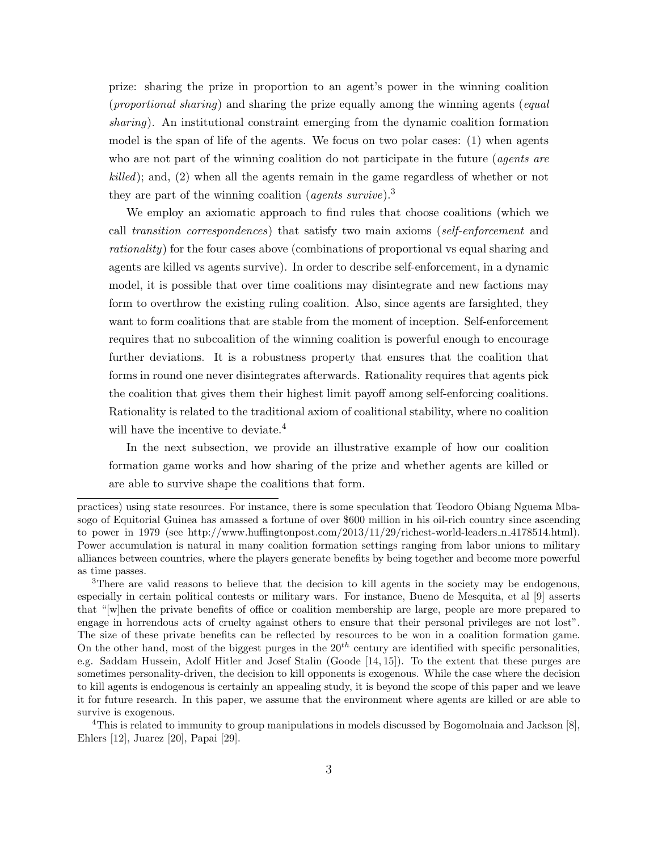prize: sharing the prize in proportion to an agent's power in the winning coalition (proportional sharing) and sharing the prize equally among the winning agents (equal sharing). An institutional constraint emerging from the dynamic coalition formation model is the span of life of the agents. We focus on two polar cases: (1) when agents who are not part of the winning coalition do not participate in the future (*agents are* killed); and, (2) when all the agents remain in the game regardless of whether or not they are part of the winning coalition (*agents survive*).<sup>3</sup>

We employ an axiomatic approach to find rules that choose coalitions (which we call transition correspondences) that satisfy two main axioms (self-enforcement and rationality) for the four cases above (combinations of proportional vs equal sharing and agents are killed vs agents survive). In order to describe self-enforcement, in a dynamic model, it is possible that over time coalitions may disintegrate and new factions may form to overthrow the existing ruling coalition. Also, since agents are farsighted, they want to form coalitions that are stable from the moment of inception. Self-enforcement requires that no subcoalition of the winning coalition is powerful enough to encourage further deviations. It is a robustness property that ensures that the coalition that forms in round one never disintegrates afterwards. Rationality requires that agents pick the coalition that gives them their highest limit payoff among self-enforcing coalitions. Rationality is related to the traditional axiom of coalitional stability, where no coalition will have the incentive to deviate.<sup>4</sup>

In the next subsection, we provide an illustrative example of how our coalition formation game works and how sharing of the prize and whether agents are killed or are able to survive shape the coalitions that form.

<sup>4</sup>This is related to immunity to group manipulations in models discussed by Bogomolnaia and Jackson [8], Ehlers [12], Juarez [20], Papai [29].

practices) using state resources. For instance, there is some speculation that Teodoro Obiang Nguema Mbasogo of Equitorial Guinea has amassed a fortune of over \$600 million in his oil-rich country since ascending to power in 1979 (see http://www.huffingtonpost.com/2013/11/29/richest-world-leaders  $n_{4}$ 178514.html). Power accumulation is natural in many coalition formation settings ranging from labor unions to military alliances between countries, where the players generate benefits by being together and become more powerful as time passes.

<sup>&</sup>lt;sup>3</sup>There are valid reasons to believe that the decision to kill agents in the society may be endogenous, especially in certain political contests or military wars. For instance, Bueno de Mesquita, et al [9] asserts that "[w]hen the private benefits of office or coalition membership are large, people are more prepared to engage in horrendous acts of cruelty against others to ensure that their personal privileges are not lost". The size of these private benefits can be reflected by resources to be won in a coalition formation game. On the other hand, most of the biggest purges in the  $20^{th}$  century are identified with specific personalities, e.g. Saddam Hussein, Adolf Hitler and Josef Stalin (Goode [14, 15]). To the extent that these purges are sometimes personality-driven, the decision to kill opponents is exogenous. While the case where the decision to kill agents is endogenous is certainly an appealing study, it is beyond the scope of this paper and we leave it for future research. In this paper, we assume that the environment where agents are killed or are able to survive is exogenous.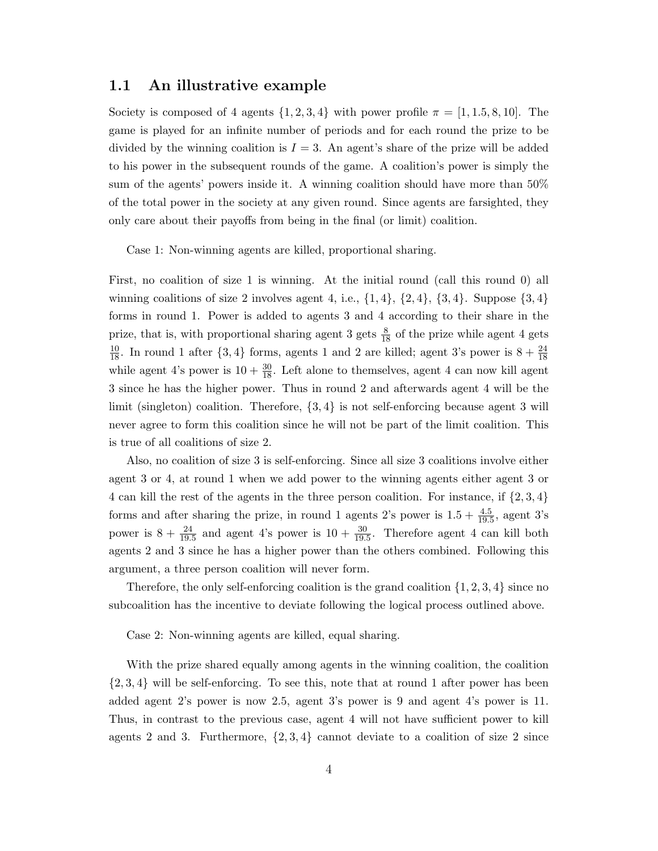### 1.1 An illustrative example

Society is composed of 4 agents  $\{1, 2, 3, 4\}$  with power profile  $\pi = [1, 1.5, 8, 10]$ . The game is played for an infinite number of periods and for each round the prize to be divided by the winning coalition is  $I = 3$ . An agent's share of the prize will be added to his power in the subsequent rounds of the game. A coalition's power is simply the sum of the agents' powers inside it. A winning coalition should have more than 50% of the total power in the society at any given round. Since agents are farsighted, they only care about their payoffs from being in the final (or limit) coalition.

Case 1: Non-winning agents are killed, proportional sharing.

First, no coalition of size 1 is winning. At the initial round (call this round 0) all winning coalitions of size 2 involves agent 4, i.e.,  $\{1,4\}$ ,  $\{2,4\}$ ,  $\{3,4\}$ . Suppose  $\{3,4\}$ forms in round 1. Power is added to agents 3 and 4 according to their share in the prize, that is, with proportional sharing agent 3 gets  $\frac{8}{18}$  of the prize while agent 4 gets  $\frac{10}{18}$ . In round 1 after  $\{3,4\}$  forms, agents 1 and 2 are killed; agent 3's power is  $8 + \frac{24}{18}$ while agent 4's power is  $10 + \frac{30}{18}$ . Left alone to themselves, agent 4 can now kill agent 3 since he has the higher power. Thus in round 2 and afterwards agent 4 will be the limit (singleton) coalition. Therefore,  $\{3, 4\}$  is not self-enforcing because agent 3 will never agree to form this coalition since he will not be part of the limit coalition. This is true of all coalitions of size 2.

Also, no coalition of size 3 is self-enforcing. Since all size 3 coalitions involve either agent 3 or 4, at round 1 when we add power to the winning agents either agent 3 or 4 can kill the rest of the agents in the three person coalition. For instance, if  $\{2, 3, 4\}$ forms and after sharing the prize, in round 1 agents 2's power is  $1.5 + \frac{4.5}{19.5}$ , agent 3's power is  $8 + \frac{24}{19.5}$  and agent 4's power is  $10 + \frac{30}{19.5}$ . Therefore agent 4 can kill both agents 2 and 3 since he has a higher power than the others combined. Following this argument, a three person coalition will never form.

Therefore, the only self-enforcing coalition is the grand coalition  $\{1, 2, 3, 4\}$  since no subcoalition has the incentive to deviate following the logical process outlined above.

Case 2: Non-winning agents are killed, equal sharing.

With the prize shared equally among agents in the winning coalition, the coalition  $\{2,3,4\}$  will be self-enforcing. To see this, note that at round 1 after power has been added agent 2's power is now 2.5, agent 3's power is 9 and agent 4's power is 11. Thus, in contrast to the previous case, agent 4 will not have sufficient power to kill agents 2 and 3. Furthermore,  $\{2,3,4\}$  cannot deviate to a coalition of size 2 since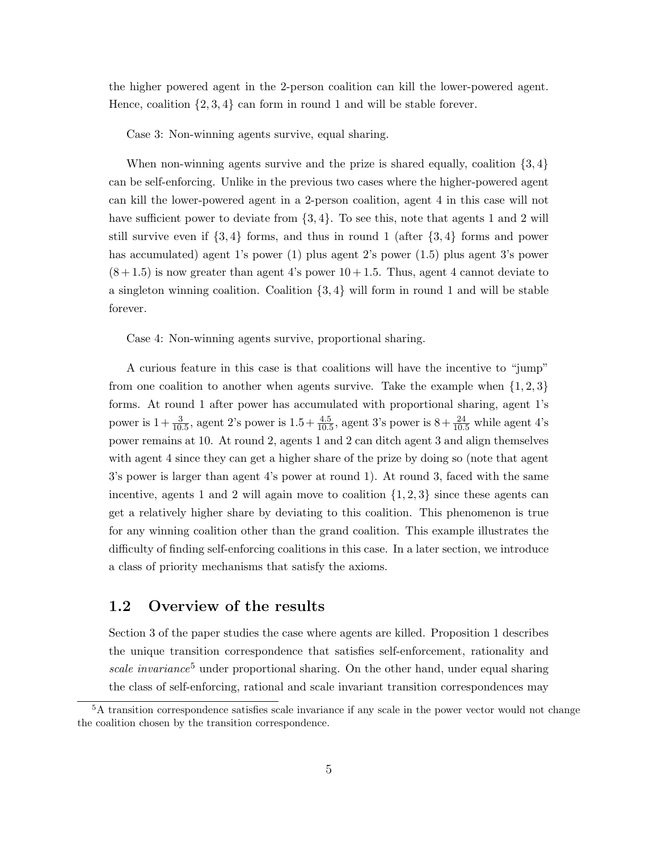the higher powered agent in the 2-person coalition can kill the lower-powered agent. Hence, coalition  $\{2, 3, 4\}$  can form in round 1 and will be stable forever.

Case 3: Non-winning agents survive, equal sharing.

When non-winning agents survive and the prize is shared equally, coalition  $\{3, 4\}$ can be self-enforcing. Unlike in the previous two cases where the higher-powered agent can kill the lower-powered agent in a 2-person coalition, agent 4 in this case will not have sufficient power to deviate from  $\{3, 4\}$ . To see this, note that agents 1 and 2 will still survive even if  $\{3,4\}$  forms, and thus in round 1 (after  $\{3,4\}$  forms and power has accumulated) agent 1's power (1) plus agent 2's power (1.5) plus agent 3's power  $(8+1.5)$  is now greater than agent 4's power  $10+1.5$ . Thus, agent 4 cannot deviate to a singleton winning coalition. Coalition  $\{3, 4\}$  will form in round 1 and will be stable forever.

Case 4: Non-winning agents survive, proportional sharing.

A curious feature in this case is that coalitions will have the incentive to "jump" from one coalition to another when agents survive. Take the example when  $\{1, 2, 3\}$ forms. At round 1 after power has accumulated with proportional sharing, agent 1's power is  $1 + \frac{3}{10.5}$ , agent 2's power is  $1.5 + \frac{4.5}{10.5}$ , agent 3's power is  $8 + \frac{24}{10.5}$  while agent 4's power remains at 10. At round 2, agents 1 and 2 can ditch agent 3 and align themselves with agent 4 since they can get a higher share of the prize by doing so (note that agent 3's power is larger than agent 4's power at round 1). At round 3, faced with the same incentive, agents 1 and 2 will again move to coalition  $\{1, 2, 3\}$  since these agents can get a relatively higher share by deviating to this coalition. This phenomenon is true for any winning coalition other than the grand coalition. This example illustrates the difficulty of finding self-enforcing coalitions in this case. In a later section, we introduce a class of priority mechanisms that satisfy the axioms.

## 1.2 Overview of the results

Section 3 of the paper studies the case where agents are killed. Proposition 1 describes the unique transition correspondence that satisfies self-enforcement, rationality and scale invariance<sup>5</sup> under proportional sharing. On the other hand, under equal sharing the class of self-enforcing, rational and scale invariant transition correspondences may

<sup>5</sup>A transition correspondence satisfies scale invariance if any scale in the power vector would not change the coalition chosen by the transition correspondence.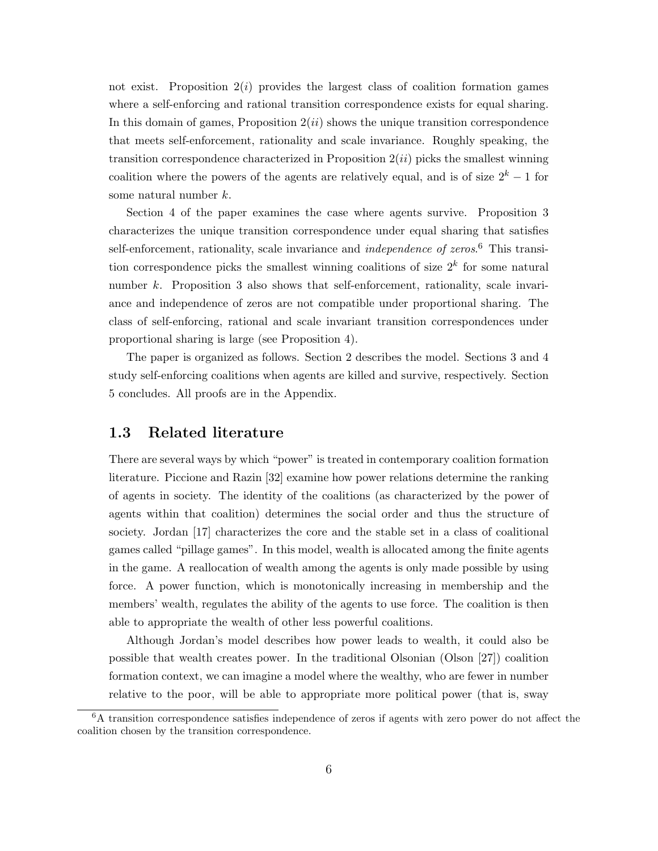not exist. Proposition  $2(i)$  provides the largest class of coalition formation games where a self-enforcing and rational transition correspondence exists for equal sharing. In this domain of games, Proposition  $2(ii)$  shows the unique transition correspondence that meets self-enforcement, rationality and scale invariance. Roughly speaking, the transition correspondence characterized in Proposition  $2(ii)$  picks the smallest winning coalition where the powers of the agents are relatively equal, and is of size  $2<sup>k</sup> - 1$  for some natural number k.

Section 4 of the paper examines the case where agents survive. Proposition 3 characterizes the unique transition correspondence under equal sharing that satisfies self-enforcement, rationality, scale invariance and *independence of zeros*.<sup>6</sup> This transition correspondence picks the smallest winning coalitions of size  $2<sup>k</sup>$  for some natural number k. Proposition 3 also shows that self-enforcement, rationality, scale invariance and independence of zeros are not compatible under proportional sharing. The class of self-enforcing, rational and scale invariant transition correspondences under proportional sharing is large (see Proposition 4).

The paper is organized as follows. Section 2 describes the model. Sections 3 and 4 study self-enforcing coalitions when agents are killed and survive, respectively. Section 5 concludes. All proofs are in the Appendix.

## 1.3 Related literature

There are several ways by which "power" is treated in contemporary coalition formation literature. Piccione and Razin [32] examine how power relations determine the ranking of agents in society. The identity of the coalitions (as characterized by the power of agents within that coalition) determines the social order and thus the structure of society. Jordan [17] characterizes the core and the stable set in a class of coalitional games called "pillage games". In this model, wealth is allocated among the finite agents in the game. A reallocation of wealth among the agents is only made possible by using force. A power function, which is monotonically increasing in membership and the members' wealth, regulates the ability of the agents to use force. The coalition is then able to appropriate the wealth of other less powerful coalitions.

Although Jordan's model describes how power leads to wealth, it could also be possible that wealth creates power. In the traditional Olsonian (Olson [27]) coalition formation context, we can imagine a model where the wealthy, who are fewer in number relative to the poor, will be able to appropriate more political power (that is, sway

<sup>6</sup>A transition correspondence satisfies independence of zeros if agents with zero power do not affect the coalition chosen by the transition correspondence.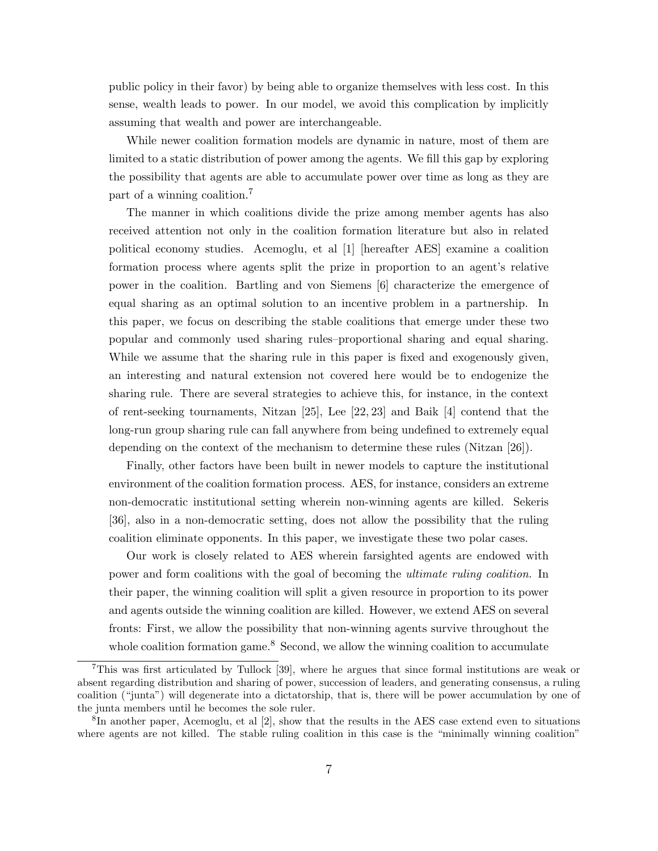public policy in their favor) by being able to organize themselves with less cost. In this sense, wealth leads to power. In our model, we avoid this complication by implicitly assuming that wealth and power are interchangeable.

While newer coalition formation models are dynamic in nature, most of them are limited to a static distribution of power among the agents. We fill this gap by exploring the possibility that agents are able to accumulate power over time as long as they are part of a winning coalition.<sup>7</sup>

The manner in which coalitions divide the prize among member agents has also received attention not only in the coalition formation literature but also in related political economy studies. Acemoglu, et al [1] [hereafter AES] examine a coalition formation process where agents split the prize in proportion to an agent's relative power in the coalition. Bartling and von Siemens [6] characterize the emergence of equal sharing as an optimal solution to an incentive problem in a partnership. In this paper, we focus on describing the stable coalitions that emerge under these two popular and commonly used sharing rules–proportional sharing and equal sharing. While we assume that the sharing rule in this paper is fixed and exogenously given, an interesting and natural extension not covered here would be to endogenize the sharing rule. There are several strategies to achieve this, for instance, in the context of rent-seeking tournaments, Nitzan [25], Lee [22, 23] and Baik [4] contend that the long-run group sharing rule can fall anywhere from being undefined to extremely equal depending on the context of the mechanism to determine these rules (Nitzan [26]).

Finally, other factors have been built in newer models to capture the institutional environment of the coalition formation process. AES, for instance, considers an extreme non-democratic institutional setting wherein non-winning agents are killed. Sekeris [36], also in a non-democratic setting, does not allow the possibility that the ruling coalition eliminate opponents. In this paper, we investigate these two polar cases.

Our work is closely related to AES wherein farsighted agents are endowed with power and form coalitions with the goal of becoming the ultimate ruling coalition. In their paper, the winning coalition will split a given resource in proportion to its power and agents outside the winning coalition are killed. However, we extend AES on several fronts: First, we allow the possibility that non-winning agents survive throughout the whole coalition formation game.<sup>8</sup> Second, we allow the winning coalition to accumulate

<sup>7</sup>This was first articulated by Tullock [39], where he argues that since formal institutions are weak or absent regarding distribution and sharing of power, succession of leaders, and generating consensus, a ruling coalition ("junta") will degenerate into a dictatorship, that is, there will be power accumulation by one of the junta members until he becomes the sole ruler.

<sup>&</sup>lt;sup>8</sup>In another paper, Acemoglu, et al [2], show that the results in the AES case extend even to situations where agents are not killed. The stable ruling coalition in this case is the "minimally winning coalition"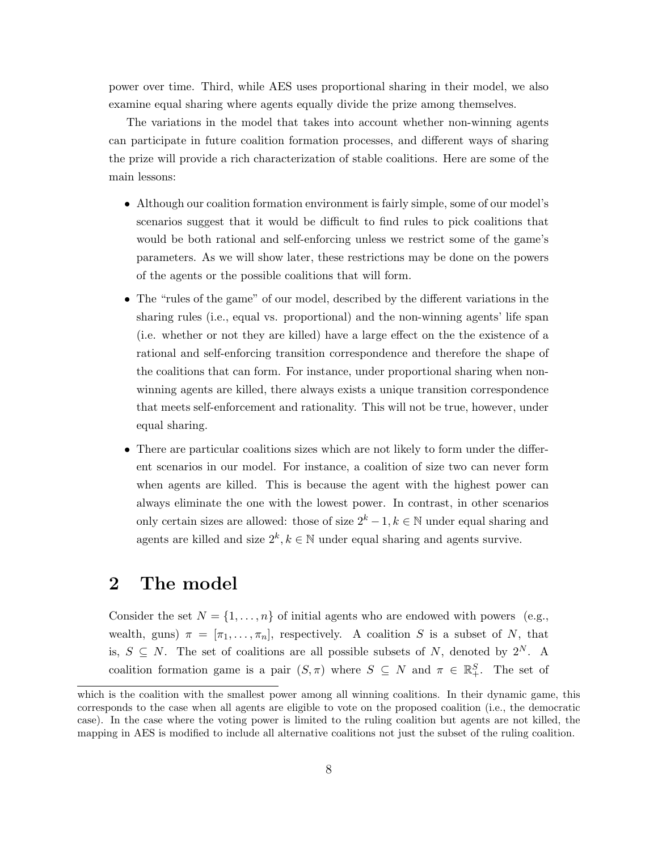power over time. Third, while AES uses proportional sharing in their model, we also examine equal sharing where agents equally divide the prize among themselves.

The variations in the model that takes into account whether non-winning agents can participate in future coalition formation processes, and different ways of sharing the prize will provide a rich characterization of stable coalitions. Here are some of the main lessons:

- Although our coalition formation environment is fairly simple, some of our model's scenarios suggest that it would be difficult to find rules to pick coalitions that would be both rational and self-enforcing unless we restrict some of the game's parameters. As we will show later, these restrictions may be done on the powers of the agents or the possible coalitions that will form.
- The "rules of the game" of our model, described by the different variations in the sharing rules (i.e., equal vs. proportional) and the non-winning agents' life span (i.e. whether or not they are killed) have a large effect on the the existence of a rational and self-enforcing transition correspondence and therefore the shape of the coalitions that can form. For instance, under proportional sharing when nonwinning agents are killed, there always exists a unique transition correspondence that meets self-enforcement and rationality. This will not be true, however, under equal sharing.
- There are particular coalitions sizes which are not likely to form under the different scenarios in our model. For instance, a coalition of size two can never form when agents are killed. This is because the agent with the highest power can always eliminate the one with the lowest power. In contrast, in other scenarios only certain sizes are allowed: those of size  $2^k - 1, k \in \mathbb{N}$  under equal sharing and agents are killed and size  $2^k, k \in \mathbb{N}$  under equal sharing and agents survive.

# 2 The model

Consider the set  $N = \{1, \ldots, n\}$  of initial agents who are endowed with powers (e.g., wealth, guns)  $\pi = [\pi_1, \ldots, \pi_n]$ , respectively. A coalition S is a subset of N, that is,  $S \subseteq N$ . The set of coalitions are all possible subsets of N, denoted by  $2^N$ . A coalition formation game is a pair  $(S, \pi)$  where  $S \subseteq N$  and  $\pi \in \mathbb{R}^S_+$ . The set of

which is the coalition with the smallest power among all winning coalitions. In their dynamic game, this corresponds to the case when all agents are eligible to vote on the proposed coalition (i.e., the democratic case). In the case where the voting power is limited to the ruling coalition but agents are not killed, the mapping in AES is modified to include all alternative coalitions not just the subset of the ruling coalition.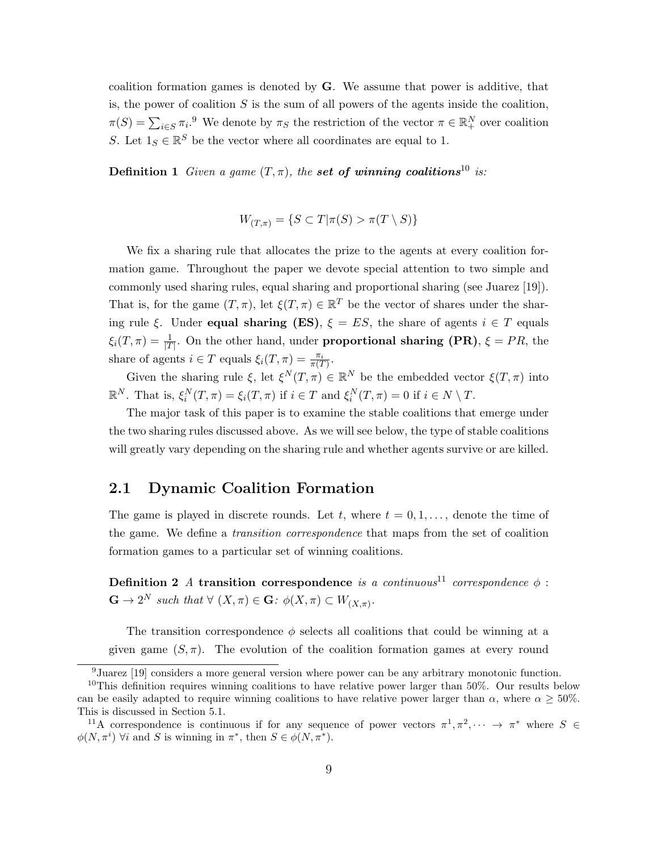coalition formation games is denoted by  $\bf{G}$ . We assume that power is additive, that is, the power of coalition  $S$  is the sum of all powers of the agents inside the coalition,  $\pi(S) = \sum_{i \in S} \pi_i$ <sup>9</sup> We denote by  $\pi_S$  the restriction of the vector  $\pi \in \mathbb{R}^N_+$  over coalition S. Let  $1_S \in \mathbb{R}^S$  be the vector where all coordinates are equal to 1.

**Definition 1** Given a game  $(T, \pi)$ , the set of winning coalitions<sup>10</sup> is:

$$
W_{(T,\pi)} = \{ S \subset T | \pi(S) > \pi(T \setminus S) \}
$$

We fix a sharing rule that allocates the prize to the agents at every coalition formation game. Throughout the paper we devote special attention to two simple and commonly used sharing rules, equal sharing and proportional sharing (see Juarez [19]). That is, for the game  $(T, \pi)$ , let  $\xi(T, \pi) \in \mathbb{R}^T$  be the vector of shares under the sharing rule ξ. Under **equal sharing (ES)**,  $\xi = ES$ , the share of agents  $i \in T$  equals  $\xi_i(T,\pi) = \frac{1}{|T|}$ . On the other hand, under **proportional sharing (PR)**,  $\xi = PR$ , the share of agents  $i \in T$  equals  $\xi_i(T, \pi) = \frac{\pi_i}{\pi(T)}$ .

Given the sharing rule  $\xi$ , let  $\xi^N(T, \pi) \in \mathbb{R}^N$  be the embedded vector  $\xi(T, \pi)$  into  $\mathbb{R}^N$ . That is,  $\xi_i^N(T,\pi) = \xi_i(T,\pi)$  if  $i \in T$  and  $\xi_i^N(T,\pi) = 0$  if  $i \in N \setminus T$ .

The major task of this paper is to examine the stable coalitions that emerge under the two sharing rules discussed above. As we will see below, the type of stable coalitions will greatly vary depending on the sharing rule and whether agents survive or are killed.

### 2.1 Dynamic Coalition Formation

The game is played in discrete rounds. Let t, where  $t = 0, 1, \ldots$ , denote the time of the game. We define a transition correspondence that maps from the set of coalition formation games to a particular set of winning coalitions.

Definition 2 A transition correspondence is a continuous<sup>11</sup> correspondence  $\phi$ :  $\mathbf{G} \to 2^N$  such that  $\forall (X,\pi) \in \mathbf{G}: \phi(X,\pi) \subset W_{(X,\pi)}$ .

The transition correspondence  $\phi$  selects all coalitions that could be winning at a given game  $(S, \pi)$ . The evolution of the coalition formation games at every round

<sup>&</sup>lt;sup>9</sup>Juarez [19] considers a more general version where power can be any arbitrary monotonic function.

<sup>&</sup>lt;sup>10</sup>This definition requires winning coalitions to have relative power larger than  $50\%$ . Our results below can be easily adapted to require winning coalitions to have relative power larger than  $\alpha$ , where  $\alpha \geq 50\%$ . This is discussed in Section 5.1.

<sup>&</sup>lt;sup>11</sup>A correspondence is continuous if for any sequence of power vectors  $\pi^1, \pi^2, \dots \to \pi^*$  where  $S \in$  $\phi(N, \pi^i)$   $\forall i$  and S is winning in  $\pi^*$ , then  $S \in \phi(N, \pi^*)$ .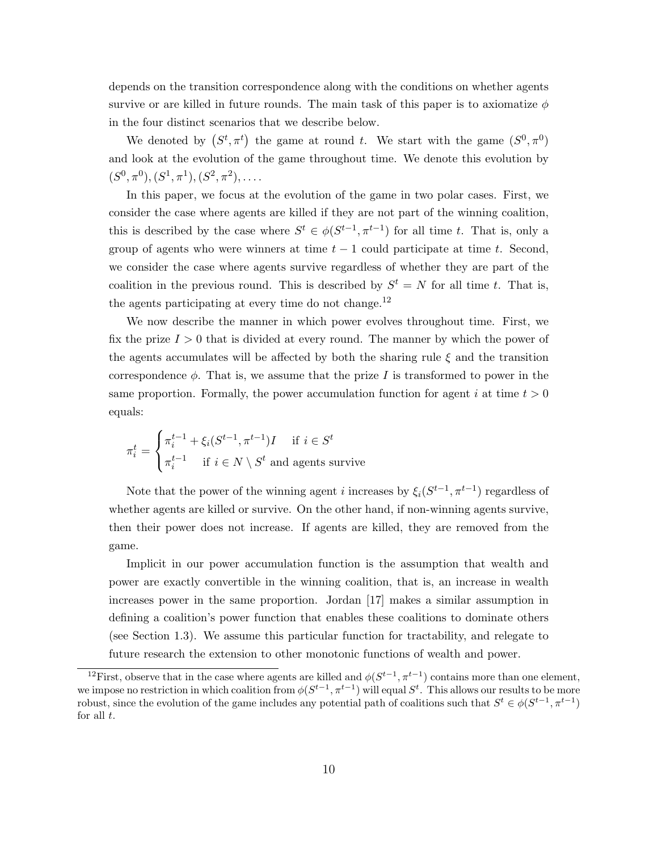depends on the transition correspondence along with the conditions on whether agents survive or are killed in future rounds. The main task of this paper is to axiomatize  $\phi$ in the four distinct scenarios that we describe below.

We denoted by  $(S^t, \pi^t)$  the game at round t. We start with the game  $(S^0, \pi^0)$ and look at the evolution of the game throughout time. We denote this evolution by  $(S^0, \pi^0), (S^1, \pi^1), (S^2, \pi^2), \ldots$ 

In this paper, we focus at the evolution of the game in two polar cases. First, we consider the case where agents are killed if they are not part of the winning coalition, this is described by the case where  $S^t \in \phi(S^{t-1}, \pi^{t-1})$  for all time t. That is, only a group of agents who were winners at time  $t - 1$  could participate at time t. Second, we consider the case where agents survive regardless of whether they are part of the coalition in the previous round. This is described by  $S^t = N$  for all time t. That is, the agents participating at every time do not change.<sup>12</sup>

We now describe the manner in which power evolves throughout time. First, we fix the prize  $I > 0$  that is divided at every round. The manner by which the power of the agents accumulates will be affected by both the sharing rule  $\xi$  and the transition correspondence  $\phi$ . That is, we assume that the prize I is transformed to power in the same proportion. Formally, the power accumulation function for agent i at time  $t > 0$ equals:

$$
\pi_i^t = \begin{cases} \pi_i^{t-1} + \xi_i(S^{t-1}, \pi^{t-1})I & \text{if } i \in S^t \\ \pi_i^{t-1} & \text{if } i \in N \setminus S^t \text{ and agents survive} \end{cases}
$$

Note that the power of the winning agent *i* increases by  $\xi_i(S^{t-1}, \pi^{t-1})$  regardless of whether agents are killed or survive. On the other hand, if non-winning agents survive, then their power does not increase. If agents are killed, they are removed from the game.

Implicit in our power accumulation function is the assumption that wealth and power are exactly convertible in the winning coalition, that is, an increase in wealth increases power in the same proportion. Jordan [17] makes a similar assumption in defining a coalition's power function that enables these coalitions to dominate others (see Section 1.3). We assume this particular function for tractability, and relegate to future research the extension to other monotonic functions of wealth and power.

<sup>&</sup>lt;sup>12</sup>First, observe that in the case where agents are killed and  $\phi(S^{t-1}, \pi^{t-1})$  contains more than one element, we impose no restriction in which coalition from  $\phi(S^{t-1}, \pi^{t-1})$  will equal  $S^t$ . This allows our results to be more robust, since the evolution of the game includes any potential path of coalitions such that  $S^t \in \phi(S^{t-1}, \pi^{t-1})$ for all  $t$ .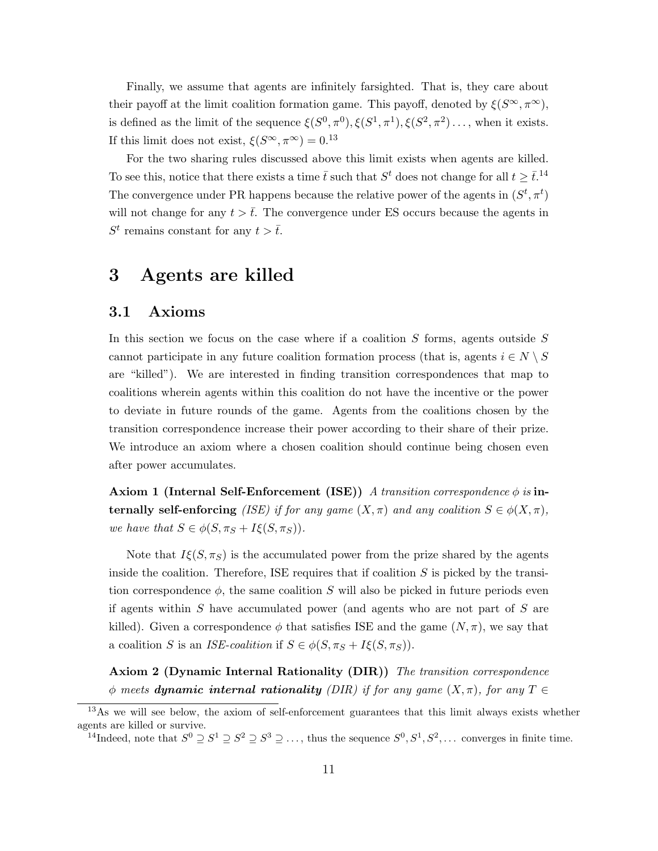Finally, we assume that agents are infinitely farsighted. That is, they care about their payoff at the limit coalition formation game. This payoff, denoted by  $\xi(S^{\infty}, \pi^{\infty})$ , is defined as the limit of the sequence  $\xi(S^0, \pi^0), \xi(S^1, \pi^1), \xi(S^2, \pi^2), \ldots$ , when it exists. If this limit does not exist,  $\xi(S^{\infty}, \pi^{\infty}) = 0.13$ 

For the two sharing rules discussed above this limit exists when agents are killed. To see this, notice that there exists a time  $\bar{t}$  such that  $S^t$  does not change for all  $t \geq \bar{t}$ .<sup>14</sup> The convergence under PR happens because the relative power of the agents in  $(S^t, \pi^t)$ will not change for any  $t > \overline{t}$ . The convergence under ES occurs because the agents in  $S^t$  remains constant for any  $t > \overline{t}$ .

# 3 Agents are killed

### 3.1 Axioms

In this section we focus on the case where if a coalition  $S$  forms, agents outside  $S$ cannot participate in any future coalition formation process (that is, agents  $i \in N \setminus S$ are "killed"). We are interested in finding transition correspondences that map to coalitions wherein agents within this coalition do not have the incentive or the power to deviate in future rounds of the game. Agents from the coalitions chosen by the transition correspondence increase their power according to their share of their prize. We introduce an axiom where a chosen coalition should continue being chosen even after power accumulates.

Axiom 1 (Internal Self-Enforcement (ISE)) A transition correspondence  $\phi$  is internally self-enforcing (ISE) if for any game  $(X, \pi)$  and any coalition  $S \in \phi(X, \pi)$ , we have that  $S \in \phi(S, \pi_S + I\xi(S, \pi_S)).$ 

Note that  $I\xi(S, \pi_S)$  is the accumulated power from the prize shared by the agents inside the coalition. Therefore, ISE requires that if coalition  $S$  is picked by the transition correspondence  $\phi$ , the same coalition S will also be picked in future periods even if agents within S have accumulated power (and agents who are not part of S are killed). Given a correspondence  $\phi$  that satisfies ISE and the game  $(N, \pi)$ , we say that a coalition S is an ISE-coalition if  $S \in \phi(S, \pi_S + I\xi(S, \pi_S))$ .

Axiom 2 (Dynamic Internal Rationality (DIR)) The transition correspondence  $\phi$  meets **dynamic internal rationality** (DIR) if for any game  $(X,\pi)$ , for any  $T \in$ 

<sup>&</sup>lt;sup>13</sup>As we will see below, the axiom of self-enforcement guarantees that this limit always exists whether agents are killed or survive.

<sup>&</sup>lt;sup>14</sup>Indeed, note that  $S^0 \supseteq S^1 \supseteq S^2 \supseteq S^3 \supseteq \ldots$ , thus the sequence  $S^0, S^1, S^2, \ldots$  converges in finite time.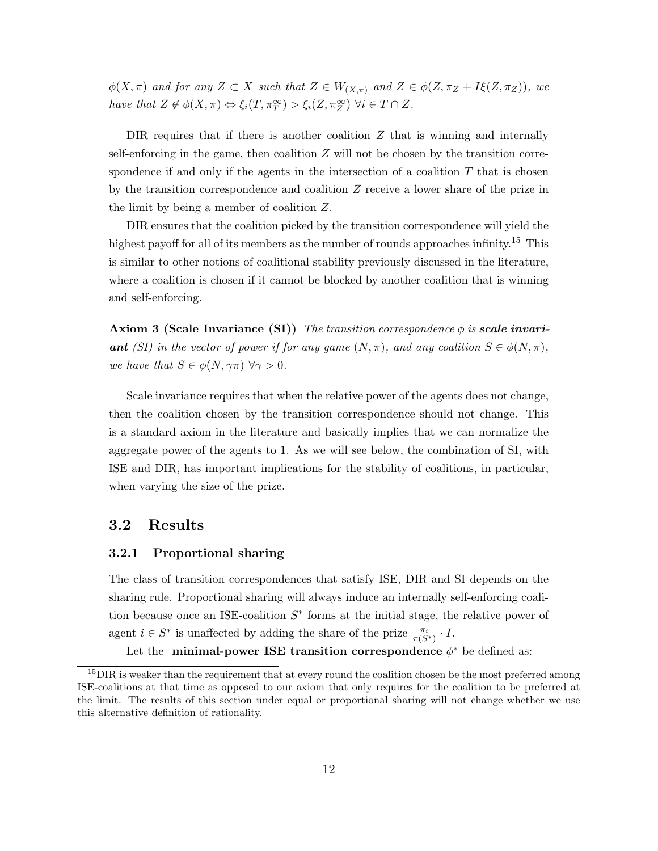$\phi(X,\pi)$  and for any  $Z \subset X$  such that  $Z \in W_{(X,\pi)}$  and  $Z \in \phi(Z,\pi_Z + I\xi(Z,\pi_Z)),$  we have that  $Z \notin \phi(X, \pi) \Leftrightarrow \xi_i(T, \pi_T^{\infty}) > \xi_i(Z, \pi_Z^{\infty}) \ \forall i \in T \cap Z$ .

DIR requires that if there is another coalition  $Z$  that is winning and internally self-enforcing in the game, then coalition  $Z$  will not be chosen by the transition correspondence if and only if the agents in the intersection of a coalition  $T$  that is chosen by the transition correspondence and coalition Z receive a lower share of the prize in the limit by being a member of coalition Z.

DIR ensures that the coalition picked by the transition correspondence will yield the highest payoff for all of its members as the number of rounds approaches infinity.<sup>15</sup> This is similar to other notions of coalitional stability previously discussed in the literature, where a coalition is chosen if it cannot be blocked by another coalition that is winning and self-enforcing.

**Axiom 3 (Scale Invariance (SI))** The transition correspondence  $\phi$  is **scale invari**ant (SI) in the vector of power if for any game  $(N, \pi)$ , and any coalition  $S \in \phi(N, \pi)$ , we have that  $S \in \phi(N, \gamma \pi)$   $\forall \gamma > 0$ .

Scale invariance requires that when the relative power of the agents does not change, then the coalition chosen by the transition correspondence should not change. This is a standard axiom in the literature and basically implies that we can normalize the aggregate power of the agents to 1. As we will see below, the combination of SI, with ISE and DIR, has important implications for the stability of coalitions, in particular, when varying the size of the prize.

### 3.2 Results

#### 3.2.1 Proportional sharing

The class of transition correspondences that satisfy ISE, DIR and SI depends on the sharing rule. Proportional sharing will always induce an internally self-enforcing coalition because once an ISE-coalition  $S^*$  forms at the initial stage, the relative power of agent  $i \in S^*$  is unaffected by adding the share of the prize  $\frac{\pi_i}{\pi(S^*)} \cdot I$ .

Let the minimal-power ISE transition correspondence  $\phi^*$  be defined as:

 $15$ DIR is weaker than the requirement that at every round the coalition chosen be the most preferred among ISE-coalitions at that time as opposed to our axiom that only requires for the coalition to be preferred at the limit. The results of this section under equal or proportional sharing will not change whether we use this alternative definition of rationality.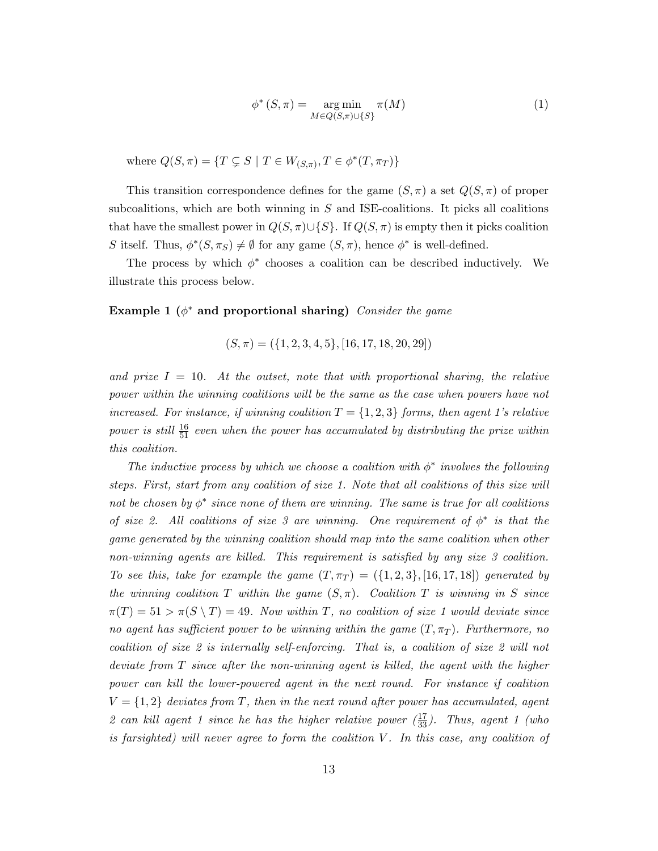$$
\phi^* (S, \pi) = \underset{M \in Q(S, \pi) \cup \{S\}}{\operatorname{arg\,min}} \pi(M) \tag{1}
$$

where  $Q(S,\pi) = \{T \subsetneq S \mid T \in W_{(S,\pi)}, T \in \phi^*(T,\pi_T)\}\$ 

This transition correspondence defines for the game  $(S, \pi)$  a set  $Q(S, \pi)$  of proper subcoalitions, which are both winning in  $S$  and ISE-coalitions. It picks all coalitions that have the smallest power in  $Q(S, \pi) \cup \{S\}$ . If  $Q(S, \pi)$  is empty then it picks coalition S itself. Thus,  $\phi^*(S, \pi_S) \neq \emptyset$  for any game  $(S, \pi)$ , hence  $\phi^*$  is well-defined.

The process by which  $\phi^*$  chooses a coalition can be described inductively. We illustrate this process below.

### Example 1 ( $\phi^*$  and proportional sharing) Consider the game

$$
(S, \pi) = (\{1, 2, 3, 4, 5\}, [16, 17, 18, 20, 29])
$$

and prize  $I = 10$ . At the outset, note that with proportional sharing, the relative power within the winning coalitions will be the same as the case when powers have not increased. For instance, if winning coalition  $T = \{1, 2, 3\}$  forms, then agent 1's relative power is still  $\frac{16}{51}$  even when the power has accumulated by distributing the prize within this coalition.

The inductive process by which we choose a coalition with  $\phi^*$  involves the following steps. First, start from any coalition of size 1. Note that all coalitions of this size will not be chosen by  $\phi^*$  since none of them are winning. The same is true for all coalitions of size 2. All coalitions of size 3 are winning. One requirement of  $\phi^*$  is that the game generated by the winning coalition should map into the same coalition when other non-winning agents are killed. This requirement is satisfied by any size 3 coalition. To see this, take for example the game  $(T, \pi_T) = (\{1, 2, 3\}, [16, 17, 18])$  generated by the winning coalition T within the game  $(S,\pi)$ . Coalition T is winning in S since  $\pi(T) = 51 > \pi(S \setminus T) = 49$ . Now within T, no coalition of size 1 would deviate since no agent has sufficient power to be winning within the game  $(T, \pi_T)$ . Furthermore, no coalition of size 2 is internally self-enforcing. That is, a coalition of size 2 will not deviate from T since after the non-winning agent is killed, the agent with the higher power can kill the lower-powered agent in the next round. For instance if coalition  $V = \{1, 2\}$  deviates from T, then in the next round after power has accumulated, agent 2 can kill agent 1 since he has the higher relative power  $(\frac{17}{33})$ . Thus, agent 1 (who is farsighted) will never agree to form the coalition  $V$ . In this case, any coalition of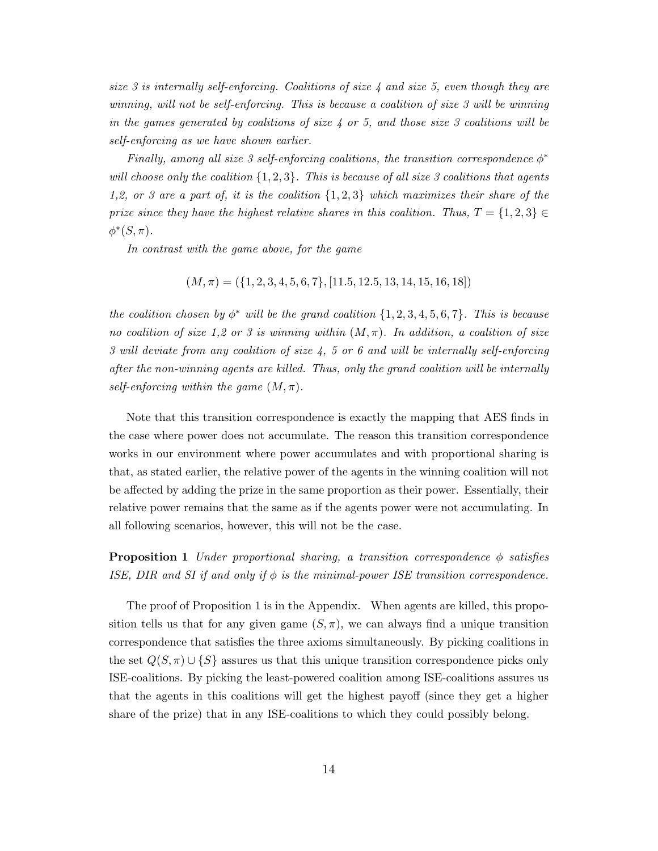size 3 is internally self-enforcing. Coalitions of size  $\lambda$  and size 5, even though they are winning, will not be self-enforcing. This is because a coalition of size 3 will be winning in the games generated by coalitions of size  $\lambda$  or 5, and those size 3 coalitions will be self-enforcing as we have shown earlier.

Finally, among all size 3 self-enforcing coalitions, the transition correspondence  $\phi^*$ will choose only the coalition  $\{1, 2, 3\}$ . This is because of all size 3 coalitions that agents 1,2, or 3 are a part of, it is the coalition  $\{1, 2, 3\}$  which maximizes their share of the prize since they have the highest relative shares in this coalition. Thus,  $T = \{1, 2, 3\} \in$  $\phi^*(S,\pi)$ .

In contrast with the game above, for the game

$$
(M, \pi) = (\{1, 2, 3, 4, 5, 6, 7\}, [11.5, 12.5, 13, 14, 15, 16, 18])
$$

the coalition chosen by  $\phi^*$  will be the grand coalition  $\{1, 2, 3, 4, 5, 6, 7\}$ . This is because no coalition of size 1,2 or 3 is winning within  $(M, \pi)$ . In addition, a coalition of size 3 will deviate from any coalition of size 4, 5 or 6 and will be internally self-enforcing after the non-winning agents are killed. Thus, only the grand coalition will be internally self-enforcing within the game  $(M, \pi)$ .

Note that this transition correspondence is exactly the mapping that AES finds in the case where power does not accumulate. The reason this transition correspondence works in our environment where power accumulates and with proportional sharing is that, as stated earlier, the relative power of the agents in the winning coalition will not be affected by adding the prize in the same proportion as their power. Essentially, their relative power remains that the same as if the agents power were not accumulating. In all following scenarios, however, this will not be the case.

**Proposition 1** Under proportional sharing, a transition correspondence  $\phi$  satisfies ISE, DIR and SI if and only if  $\phi$  is the minimal-power ISE transition correspondence.

The proof of Proposition 1 is in the Appendix. When agents are killed, this proposition tells us that for any given game  $(S, \pi)$ , we can always find a unique transition correspondence that satisfies the three axioms simultaneously. By picking coalitions in the set  $Q(S, \pi) \cup \{S\}$  assures us that this unique transition correspondence picks only ISE-coalitions. By picking the least-powered coalition among ISE-coalitions assures us that the agents in this coalitions will get the highest payoff (since they get a higher share of the prize) that in any ISE-coalitions to which they could possibly belong.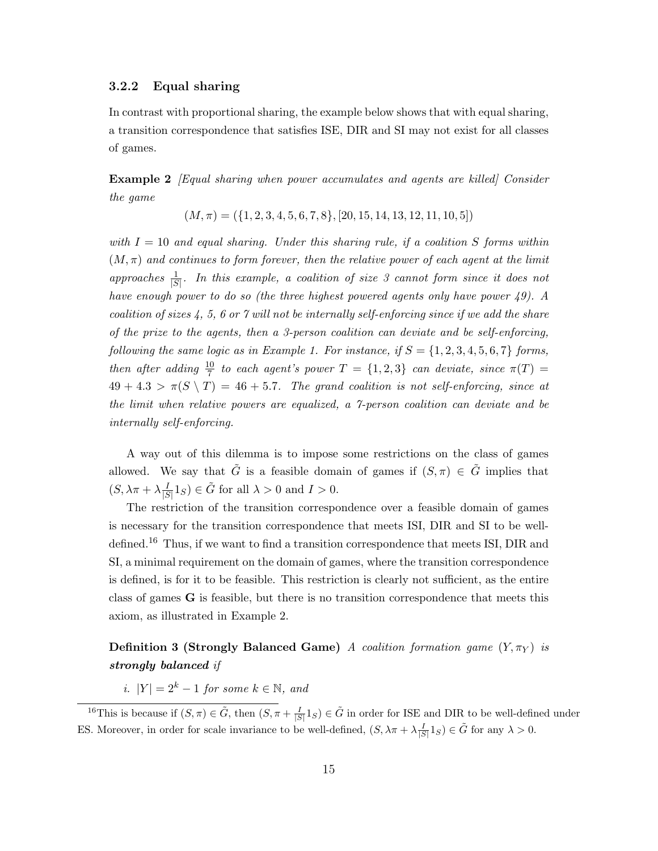#### 3.2.2 Equal sharing

In contrast with proportional sharing, the example below shows that with equal sharing, a transition correspondence that satisfies ISE, DIR and SI may not exist for all classes of games.

**Example 2** [Equal sharing when power accumulates and agents are killed] Consider the game

$$
(M, \pi) = (\{1, 2, 3, 4, 5, 6, 7, 8\}, [20, 15, 14, 13, 12, 11, 10, 5])
$$

with  $I = 10$  and equal sharing. Under this sharing rule, if a coalition S forms within  $(M, \pi)$  and continues to form forever, then the relative power of each agent at the limit approaches  $\frac{1}{|S|}$ . In this example, a coalition of size 3 cannot form since it does not have enough power to do so (the three highest powered agents only have power 49). A coalition of sizes  $4, 5, 6$  or 7 will not be internally self-enforcing since if we add the share of the prize to the agents, then a 3-person coalition can deviate and be self-enforcing, following the same logic as in Example 1. For instance, if  $S = \{1, 2, 3, 4, 5, 6, 7\}$  forms, then after adding  $\frac{10}{7}$  to each agent's power  $T = \{1,2,3\}$  can deviate, since  $\pi(T) =$  $49 + 4.3 > \pi(S \setminus T) = 46 + 5.7$ . The grand coalition is not self-enforcing, since at the limit when relative powers are equalized, a 7-person coalition can deviate and be internally self-enforcing.

A way out of this dilemma is to impose some restrictions on the class of games allowed. We say that G is a feasible domain of games if  $(S,\pi) \in G$  implies that  $(S, \lambda \pi + \lambda \frac{I}{15})$  $\frac{I}{|S|}1_S$   $\in \tilde{G}$  for all  $\lambda > 0$  and  $I > 0$ .

The restriction of the transition correspondence over a feasible domain of games is necessary for the transition correspondence that meets ISI, DIR and SI to be welldefined.<sup>16</sup> Thus, if we want to find a transition correspondence that meets ISI, DIR and SI, a minimal requirement on the domain of games, where the transition correspondence is defined, is for it to be feasible. This restriction is clearly not sufficient, as the entire class of games G is feasible, but there is no transition correspondence that meets this axiom, as illustrated in Example 2.

# **Definition 3 (Strongly Balanced Game)** A coalition formation game  $(Y, \pi_Y)$  is strongly balanced if

i.  $|Y| = 2^k - 1$  for some  $k \in \mathbb{N}$ , and

<sup>&</sup>lt;sup>16</sup>This is because if  $(S, \pi) \in \tilde{G}$ , then  $(S, \pi + \frac{I}{|S|} 1_S) \in \tilde{G}$  in order for ISE and DIR to be well-defined under ES. Moreover, in order for scale invariance to be well-defined,  $(S, \lambda \pi + \lambda \frac{I}{|S|} 1_S) \in \tilde{G}$  for any  $\lambda > 0$ .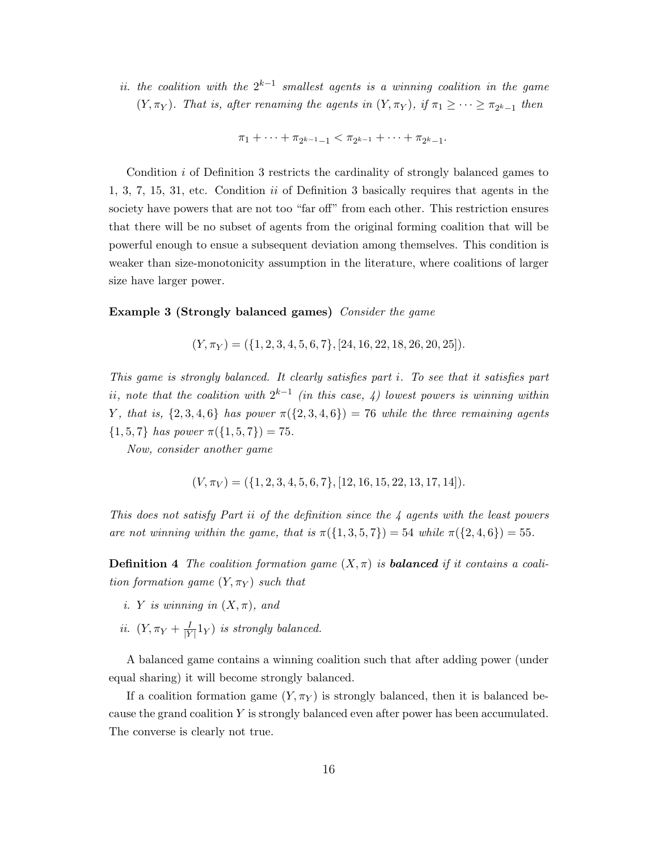ii. the coalition with the  $2^{k-1}$  smallest agents is a winning coalition in the game  $(Y, \pi_Y)$ . That is, after renaming the agents in  $(Y, \pi_Y)$ , if  $\pi_1 \geq \cdots \geq \pi_{2^k-1}$  then

 $\pi_1 + \cdots + \pi_{2^{k-1}-1} < \pi_{2^{k-1}} + \cdots + \pi_{2^k-1}.$ 

Condition i of Definition 3 restricts the cardinality of strongly balanced games to 1, 3, 7, 15, 31, etc. Condition  $ii$  of Definition 3 basically requires that agents in the society have powers that are not too "far off" from each other. This restriction ensures that there will be no subset of agents from the original forming coalition that will be powerful enough to ensue a subsequent deviation among themselves. This condition is weaker than size-monotonicity assumption in the literature, where coalitions of larger size have larger power.

#### Example 3 (Strongly balanced games) Consider the game

 $(Y, \pi_Y) = (\{1, 2, 3, 4, 5, 6, 7\}, [24, 16, 22, 18, 26, 20, 25]).$ 

This game is strongly balanced. It clearly satisfies part i. To see that it satisfies part ii, note that the coalition with  $2^{k-1}$  (in this case, 4) lowest powers is winning within Y, that is,  $\{2,3,4,6\}$  has power  $\pi(\{2,3,4,6\}) = 76$  while the three remaining agents  $\{1, 5, 7\}$  has power  $\pi(\{1, 5, 7\}) = 75$ .

Now, consider another game

$$
(V, \pi_V) = (\{1, 2, 3, 4, 5, 6, 7\}, [12, 16, 15, 22, 13, 17, 14]).
$$

This does not satisfy Part ii of the definition since the 4 agents with the least powers are not winning within the game, that is  $\pi({1, 3, 5, 7}) = 54$  while  $\pi({2, 4, 6}) = 55$ .

**Definition 4** The coalition formation game  $(X, \pi)$  is **balanced** if it contains a coalition formation game  $(Y, \pi_Y)$  such that

- i. Y is winning in  $(X, \pi)$ , and
- ii.  $(Y, \pi_Y + \frac{I}{|Y|})$  $\frac{1}{|Y|}1_Y$ ) is strongly balanced.

A balanced game contains a winning coalition such that after adding power (under equal sharing) it will become strongly balanced.

If a coalition formation game  $(Y, \pi_Y)$  is strongly balanced, then it is balanced because the grand coalition Y is strongly balanced even after power has been accumulated. The converse is clearly not true.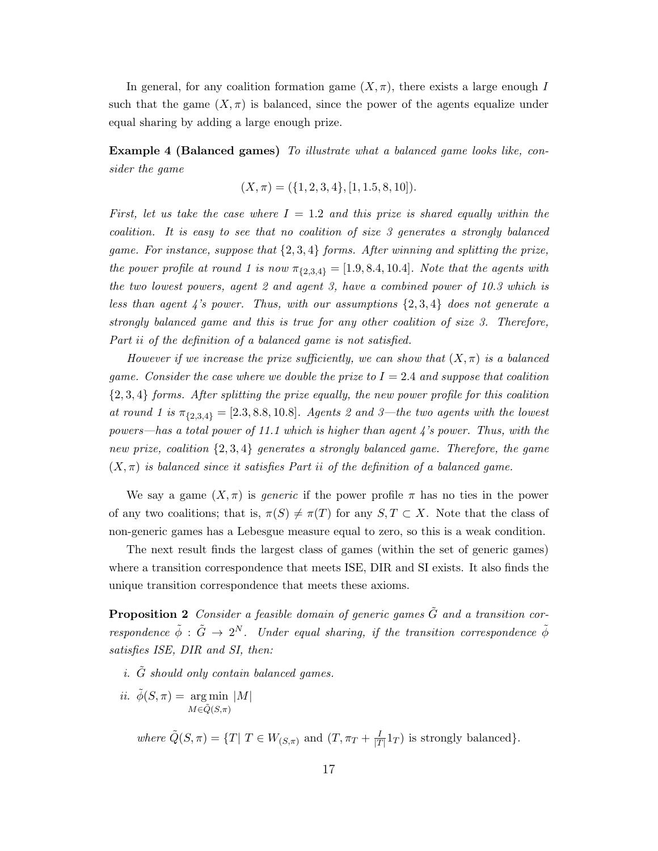In general, for any coalition formation game  $(X, \pi)$ , there exists a large enough I such that the game  $(X,\pi)$  is balanced, since the power of the agents equalize under equal sharing by adding a large enough prize.

Example 4 (Balanced games) To illustrate what a balanced game looks like, consider the game

$$
(X, \pi) = (\{1, 2, 3, 4\}, [1, 1.5, 8, 10]).
$$

First, let us take the case where  $I = 1.2$  and this prize is shared equally within the coalition. It is easy to see that no coalition of size 3 generates a strongly balanced game. For instance, suppose that  $\{2,3,4\}$  forms. After winning and splitting the prize, the power profile at round 1 is now  $\pi_{\{2,3,4\}} = [1.9, 8.4, 10.4]$ . Note that the agents with the two lowest powers, agent 2 and agent 3, have a combined power of 10.3 which is less than agent 4's power. Thus, with our assumptions  $\{2,3,4\}$  does not generate a strongly balanced game and this is true for any other coalition of size 3. Therefore, Part ii of the definition of a balanced game is not satisfied.

However if we increase the prize sufficiently, we can show that  $(X,\pi)$  is a balanced game. Consider the case where we double the prize to  $I = 2.4$  and suppose that coalition  $\{2,3,4\}$  forms. After splitting the prize equally, the new power profile for this coalition at round 1 is  $\pi_{\{2,3,4\}} = [2.3, 8.8, 10.8]$ . Agents 2 and 3—the two agents with the lowest powers—has a total power of 11.1 which is higher than agent 4's power. Thus, with the new prize, coalition {2, 3, 4} generates a strongly balanced game. Therefore, the game  $(X, \pi)$  is balanced since it satisfies Part ii of the definition of a balanced game.

We say a game  $(X,\pi)$  is *generic* if the power profile  $\pi$  has no ties in the power of any two coalitions; that is,  $\pi(S) \neq \pi(T)$  for any  $S, T \subset X$ . Note that the class of non-generic games has a Lebesgue measure equal to zero, so this is a weak condition.

The next result finds the largest class of games (within the set of generic games) where a transition correspondence that meets ISE, DIR and SI exists. It also finds the unique transition correspondence that meets these axioms.

**Proposition 2** Consider a feasible domain of generic games  $\tilde{G}$  and a transition correspondence  $\tilde{\phi}$  :  $\tilde{G} \rightarrow 2^N$ . Under equal sharing, if the transition correspondence  $\tilde{\phi}$ satisfies ISE, DIR and SI, then:

- i.  $\tilde{G}$  should only contain balanced games.
- *ii.*  $\tilde{\phi}(S,\pi) = \arg \min |M|$  $M\epsilon\tilde{Q}(S,\pi)$

where  $\tilde{Q}(S,\pi) = \{T | T \in W_{(S,\pi)} \text{ and } (T,\pi_T + \frac{I}{|T|})\}$  $\frac{1}{|T|}1_T$  is strongly balanced.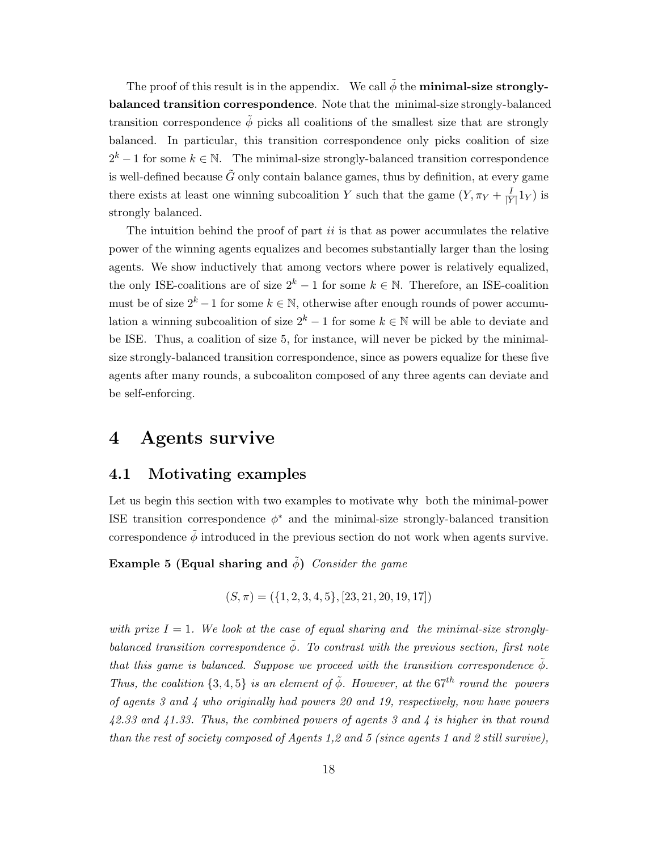The proof of this result is in the appendix. We call  $\tilde{\phi}$  the **minimal-size strongly**balanced transition correspondence. Note that the minimal-size strongly-balanced transition correspondence  $\tilde{\phi}$  picks all coalitions of the smallest size that are strongly balanced. In particular, this transition correspondence only picks coalition of size  $2^k - 1$  for some  $k \in \mathbb{N}$ . The minimal-size strongly-balanced transition correspondence is well-defined because  $\tilde{G}$  only contain balance games, thus by definition, at every game there exists at least one winning subcoalition Y such that the game  $(Y, \pi_Y + \frac{I}{Y})$  $\frac{1}{|Y|}1_Y$ ) is strongly balanced.

The intuition behind the proof of part  $ii$  is that as power accumulates the relative power of the winning agents equalizes and becomes substantially larger than the losing agents. We show inductively that among vectors where power is relatively equalized, the only ISE-coalitions are of size  $2^k - 1$  for some  $k \in \mathbb{N}$ . Therefore, an ISE-coalition must be of size  $2^k - 1$  for some  $k \in \mathbb{N}$ , otherwise after enough rounds of power accumulation a winning subcoalition of size  $2^k - 1$  for some  $k \in \mathbb{N}$  will be able to deviate and be ISE. Thus, a coalition of size 5, for instance, will never be picked by the minimalsize strongly-balanced transition correspondence, since as powers equalize for these five agents after many rounds, a subcoaliton composed of any three agents can deviate and be self-enforcing.

# 4 Agents survive

### 4.1 Motivating examples

Let us begin this section with two examples to motivate why both the minimal-power ISE transition correspondence  $\phi^*$  and the minimal-size strongly-balanced transition correspondence  $\tilde{\phi}$  introduced in the previous section do not work when agents survive.

Example 5 (Equal sharing and  $\phi$ ) Consider the game

 $(S, \pi) = (\{1, 2, 3, 4, 5\}, [23, 21, 20, 19, 17])$ 

with prize  $I = 1$ . We look at the case of equal sharing and the minimal-size stronglybalanced transition correspondence  $\tilde{\phi}$ . To contrast with the previous section, first note that this game is balanced. Suppose we proceed with the transition correspondence  $\phi$ . Thus, the coalition  $\{3,4,5\}$  is an element of  $\tilde{\phi}$ . However, at the 67<sup>th</sup> round the powers of agents 3 and 4 who originally had powers 20 and 19, respectively, now have powers 42.33 and 41.33. Thus, the combined powers of agents 3 and 4 is higher in that round than the rest of society composed of Agents 1,2 and 5 (since agents 1 and 2 still survive),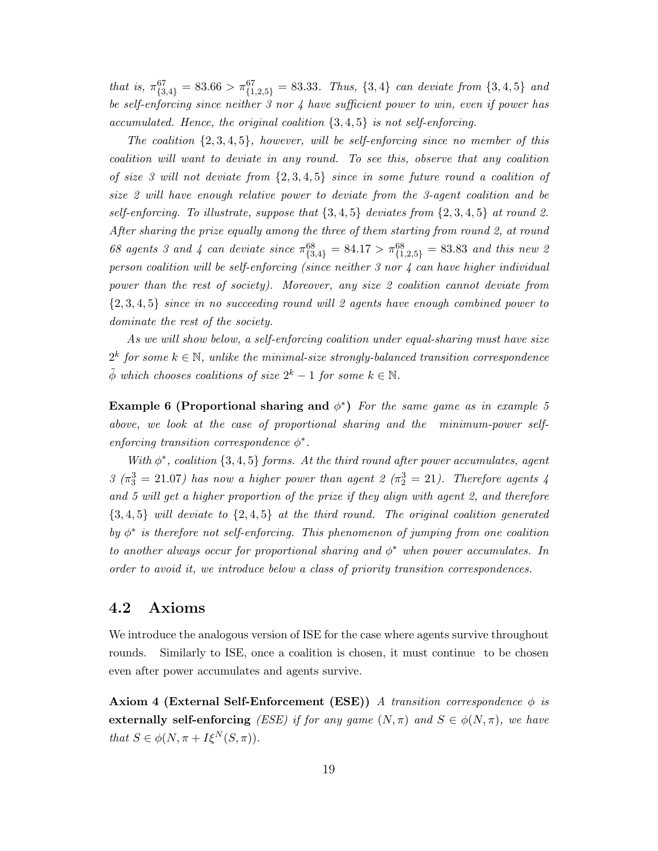that is,  $\pi_{\{3,4\}}^{67} = 83.66 > \pi_{\{1,2,5\}}^{67} = 83.33$ . Thus,  $\{3,4\}$  can deviate from  $\{3,4,5\}$  and be self-enforcing since neither 3 nor 4 have sufficient power to win, even if power has accumulated. Hence, the original coalition  $\{3, 4, 5\}$  is not self-enforcing.

The coalition  $\{2, 3, 4, 5\}$ , however, will be self-enforcing since no member of this coalition will want to deviate in any round. To see this, observe that any coalition of size 3 will not deviate from  $\{2,3,4,5\}$  since in some future round a coalition of size 2 will have enough relative power to deviate from the 3-agent coalition and be self-enforcing. To illustrate, suppose that  $\{3, 4, 5\}$  deviates from  $\{2, 3, 4, 5\}$  at round 2. After sharing the prize equally among the three of them starting from round 2, at round 68 agents 3 and 4 can deviate since  $\pi_{\{3,4\}}^{68} = 84.17 > \pi_{\{1,2,5\}}^{68} = 83.83$  and this new 2 person coalition will be self-enforcing (since neither 3 nor 4 can have higher individual power than the rest of society). Moreover, any size 2 coalition cannot deviate from  $\{2,3,4,5\}$  since in no succeeding round will 2 agents have enough combined power to dominate the rest of the society.

As we will show below, a self-enforcing coalition under equal-sharing must have size  $2^k$  for some  $k \in \mathbb{N}$ , unlike the minimal-size strongly-balanced transition correspondence  $\tilde{\phi}$  which chooses coalitions of size  $2^k - 1$  for some  $k \in \mathbb{N}$ .

Example 6 (Proportional sharing and  $\phi^*$ ) For the same game as in example 5 above, we look at the case of proportional sharing and the minimum-power selfenforcing transition correspondence  $\phi^*$ .

With  $\phi^*$ , coalition  $\{3, 4, 5\}$  forms. At the third round after power accumulates, agent  $3(\pi_3^3 = 21.07)$  has now a higher power than agent  $2(\pi_2^3 = 21)$ . Therefore agents 4 and 5 will get a higher proportion of the prize if they align with agent 2, and therefore  $\{3,4,5\}$  will deviate to  $\{2,4,5\}$  at the third round. The original coalition generated by  $\phi^*$  is therefore not self-enforcing. This phenomenon of jumping from one coalition to another always occur for proportional sharing and  $\phi^*$  when power accumulates. In order to avoid it, we introduce below a class of priority transition correspondences.

## 4.2 Axioms

We introduce the analogous version of ISE for the case where agents survive throughout rounds. Similarly to ISE, once a coalition is chosen, it must continue to be chosen even after power accumulates and agents survive.

**Axiom 4 (External Self-Enforcement (ESE))** A transition correspondence  $\phi$  is externally self-enforcing (ESE) if for any game  $(N, \pi)$  and  $S \in \phi(N, \pi)$ , we have that  $S \in \phi(N, \pi + I\xi^N(S, \pi)).$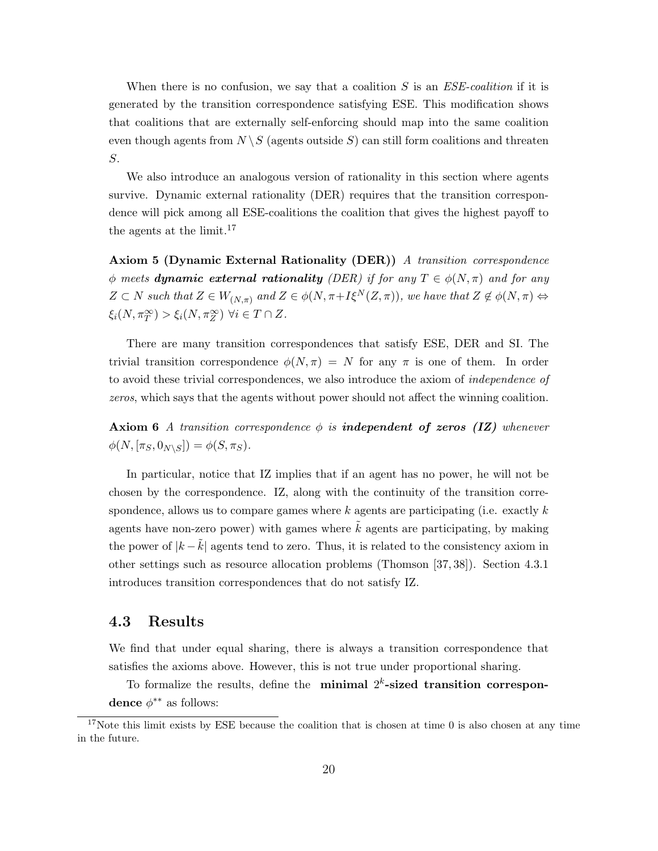When there is no confusion, we say that a coalition  $S$  is an  $ESE$ -coalition if it is generated by the transition correspondence satisfying ESE. This modification shows that coalitions that are externally self-enforcing should map into the same coalition even though agents from  $N \setminus S$  (agents outside S) can still form coalitions and threaten S.

We also introduce an analogous version of rationality in this section where agents survive. Dynamic external rationality (DER) requires that the transition correspondence will pick among all ESE-coalitions the coalition that gives the highest payoff to the agents at the limit.<sup>17</sup>

Axiom 5 (Dynamic External Rationality (DER)) A transition correspondence  $\phi$  meets dynamic external rationality (DER) if for any  $T \in \phi(N,\pi)$  and for any  $Z \subset N$  such that  $Z \in W_{(N,\pi)}$  and  $Z \in \phi(N,\pi + I\xi^N(Z,\pi))$ , we have that  $Z \notin \phi(N,\pi) \Leftrightarrow$  $\xi_i(N, \pi_T^{\infty}) > \xi_i(N, \pi_Z^{\infty}) \ \forall i \in T \cap Z.$ 

There are many transition correspondences that satisfy ESE, DER and SI. The trivial transition correspondence  $\phi(N,\pi) = N$  for any  $\pi$  is one of them. In order to avoid these trivial correspondences, we also introduce the axiom of independence of zeros, which says that the agents without power should not affect the winning coalition.

**Axiom 6** A transition correspondence  $\phi$  is **independent of zeros (IZ)** whenever  $\phi(N,[\pi_S,0_{N\setminus S}]) = \phi(S,\pi_S).$ 

In particular, notice that IZ implies that if an agent has no power, he will not be chosen by the correspondence. IZ, along with the continuity of the transition correspondence, allows us to compare games where  $k$  agents are participating (i.e. exactly  $k$ agents have non-zero power) with games where  $k$  agents are participating, by making the power of  $|k-\tilde{k}|$  agents tend to zero. Thus, it is related to the consistency axiom in other settings such as resource allocation problems (Thomson [37, 38]). Section 4.3.1 introduces transition correspondences that do not satisfy IZ.

### 4.3 Results

We find that under equal sharing, there is always a transition correspondence that satisfies the axioms above. However, this is not true under proportional sharing.

To formalize the results, define the minimal  $2<sup>k</sup>$ -sized transition correspondence  $\phi^{**}$  as follows:

<sup>&</sup>lt;sup>17</sup>Note this limit exists by ESE because the coalition that is chosen at time 0 is also chosen at any time in the future.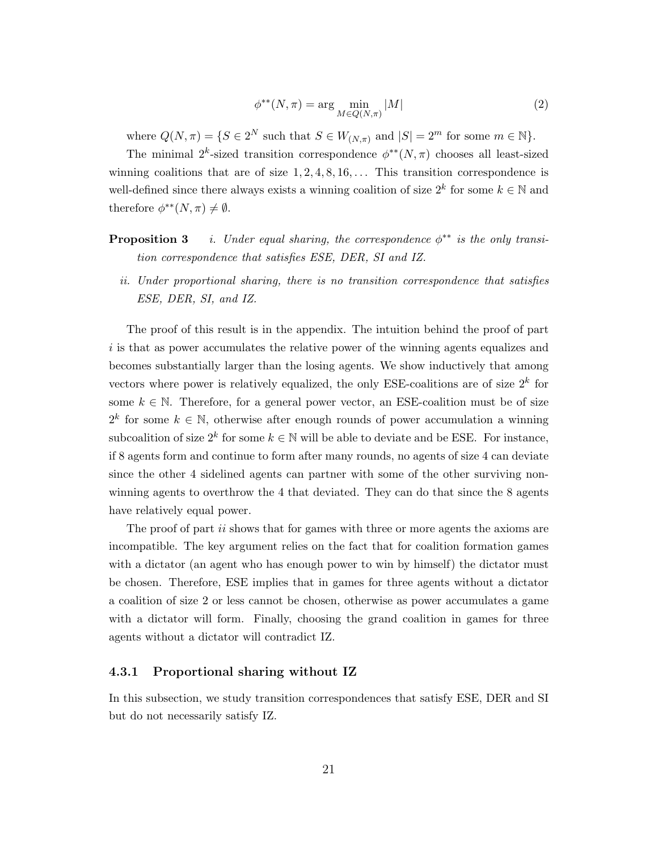$$
\phi^{**}(N,\pi) = \arg\min_{M \in Q(N,\pi)} |M| \tag{2}
$$

where  $Q(N, \pi) = \{S \in 2^N \text{ such that } S \in W_{(N, \pi)} \text{ and } |S| = 2^m \text{ for some } m \in \mathbb{N}\}.$ 

The minimal 2<sup>k</sup>-sized transition correspondence  $\phi^{**}(N,\pi)$  chooses all least-sized winning coalitions that are of size  $1, 2, 4, 8, 16, \ldots$  This transition correspondence is well-defined since there always exists a winning coalition of size  $2^k$  for some  $k \in \mathbb{N}$  and therefore  $\phi^{**}(N,\pi) \neq \emptyset$ .

- **Proposition 3** i. Under equal sharing, the correspondence  $\phi^{**}$  is the only transition correspondence that satisfies ESE, DER, SI and IZ.
	- ii. Under proportional sharing, there is no transition correspondence that satisfies ESE, DER, SI, and IZ.

The proof of this result is in the appendix. The intuition behind the proof of part i is that as power accumulates the relative power of the winning agents equalizes and becomes substantially larger than the losing agents. We show inductively that among vectors where power is relatively equalized, the only ESE-coalitions are of size  $2^k$  for some  $k \in \mathbb{N}$ . Therefore, for a general power vector, an ESE-coalition must be of size  $2^k$  for some  $k \in \mathbb{N}$ , otherwise after enough rounds of power accumulation a winning subcoalition of size  $2^k$  for some  $k \in \mathbb{N}$  will be able to deviate and be ESE. For instance, if 8 agents form and continue to form after many rounds, no agents of size 4 can deviate since the other 4 sidelined agents can partner with some of the other surviving nonwinning agents to overthrow the 4 that deviated. They can do that since the 8 agents have relatively equal power.

The proof of part *ii* shows that for games with three or more agents the axioms are incompatible. The key argument relies on the fact that for coalition formation games with a dictator (an agent who has enough power to win by himself) the dictator must be chosen. Therefore, ESE implies that in games for three agents without a dictator a coalition of size 2 or less cannot be chosen, otherwise as power accumulates a game with a dictator will form. Finally, choosing the grand coalition in games for three agents without a dictator will contradict IZ.

#### 4.3.1 Proportional sharing without IZ

In this subsection, we study transition correspondences that satisfy ESE, DER and SI but do not necessarily satisfy IZ.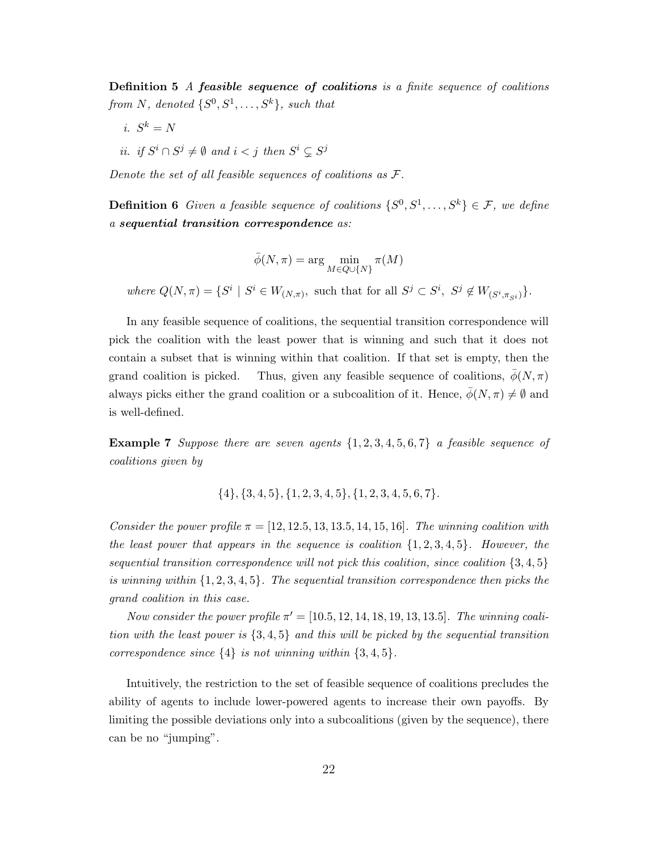**Definition 5** A **feasible sequence of coalitions** is a finite sequence of coalitions from N, denoted  $\{S^0, S^1, \ldots, S^k\}$ , such that

- i.  $S^k = N$
- ii. if  $S^i \cap S^j \neq \emptyset$  and  $i < j$  then  $S^i \subsetneq S^j$

Denote the set of all feasible sequences of coalitions as F.

**Definition 6** Given a feasible sequence of coalitions  $\{S^0, S^1, \ldots, S^k\} \in \mathcal{F}$ , we define a sequential transition correspondence as:

$$
\bar{\phi}(N,\pi) = \arg\min_{M \in Q \cup \{N\}} \pi(M)
$$

where  $Q(N,\pi) = \{S^i \mid S^i \in W_{(N,\pi)}\}$ , such that for all  $S^j \subset S^i$ ,  $S^j \notin W_{(S^i, \pi_{S^i})}\}$ .

In any feasible sequence of coalitions, the sequential transition correspondence will pick the coalition with the least power that is winning and such that it does not contain a subset that is winning within that coalition. If that set is empty, then the grand coalition is picked. Thus, given any feasible sequence of coalitions,  $\bar{\phi}(N,\pi)$ always picks either the grand coalition or a subcoalition of it. Hence,  $\bar{\phi}(N,\pi) \neq \emptyset$  and is well-defined.

**Example 7** Suppose there are seven agents  $\{1, 2, 3, 4, 5, 6, 7\}$  a feasible sequence of coalitions given by

 $\{4\}, \{3, 4, 5\}, \{1, 2, 3, 4, 5\}, \{1, 2, 3, 4, 5, 6, 7\}.$ 

Consider the power profile  $\pi = [12, 12.5, 13, 13.5, 14, 15, 16]$ . The winning coalition with the least power that appears in the sequence is coalition  $\{1, 2, 3, 4, 5\}$ . However, the sequential transition correspondence will not pick this coalition, since coalition  $\{3, 4, 5\}$ is winning within  $\{1, 2, 3, 4, 5\}$ . The sequential transition correspondence then picks the grand coalition in this case.

Now consider the power profile  $\pi' = [10.5, 12, 14, 18, 19, 13, 13.5]$ . The winning coalition with the least power is {3, 4, 5} and this will be picked by the sequential transition correspondence since  $\{4\}$  is not winning within  $\{3,4,5\}$ .

Intuitively, the restriction to the set of feasible sequence of coalitions precludes the ability of agents to include lower-powered agents to increase their own payoffs. By limiting the possible deviations only into a subcoalitions (given by the sequence), there can be no "jumping".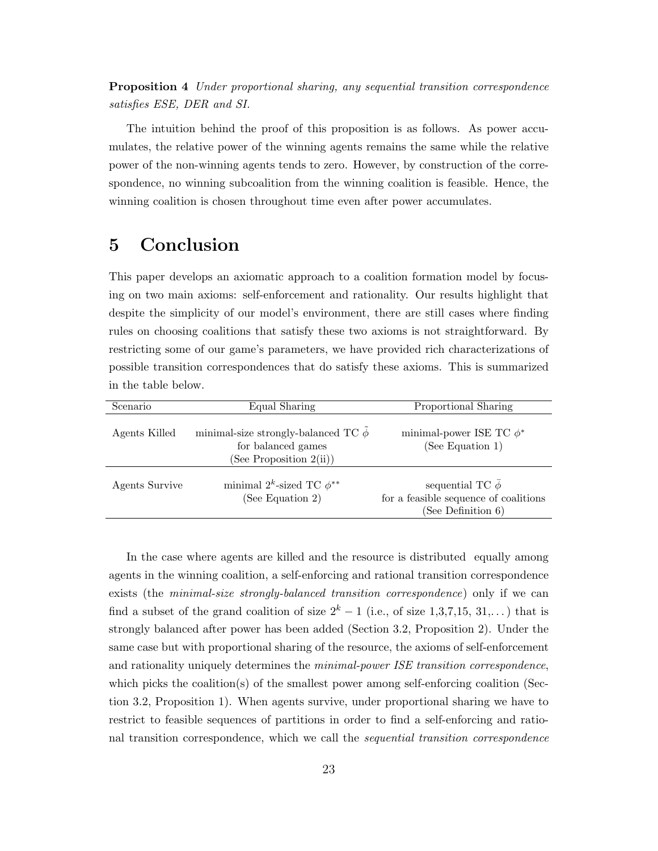Proposition 4 Under proportional sharing, any sequential transition correspondence satisfies ESE, DER and SI.

The intuition behind the proof of this proposition is as follows. As power accumulates, the relative power of the winning agents remains the same while the relative power of the non-winning agents tends to zero. However, by construction of the correspondence, no winning subcoalition from the winning coalition is feasible. Hence, the winning coalition is chosen throughout time even after power accumulates.

# 5 Conclusion

This paper develops an axiomatic approach to a coalition formation model by focusing on two main axioms: self-enforcement and rationality. Our results highlight that despite the simplicity of our model's environment, there are still cases where finding rules on choosing coalitions that satisfy these two axioms is not straightforward. By restricting some of our game's parameters, we have provided rich characterizations of possible transition correspondences that do satisfy these axioms. This is summarized in the table below.

| Scenario       | Equal Sharing                                                                               | Proportional Sharing                                                                      |
|----------------|---------------------------------------------------------------------------------------------|-------------------------------------------------------------------------------------------|
| Agents Killed  | minimal-size strongly-balanced TC $\phi$<br>for balanced games<br>(See Proposition $2(i)$ ) | minimal-power ISE TC $\phi^*$<br>(See Equation 1)                                         |
| Agents Survive | minimal 2 <sup>k</sup> -sized TC $\phi^{**}$<br>(See Equation 2)                            | sequential TC $\bar{\phi}$<br>for a feasible sequence of coalitions<br>(See Definition 6) |

In the case where agents are killed and the resource is distributed equally among agents in the winning coalition, a self-enforcing and rational transition correspondence exists (the minimal-size strongly-balanced transition correspondence) only if we can find a subset of the grand coalition of size  $2^k - 1$  (i.e., of size 1,3,7,15, 31,...) that is strongly balanced after power has been added (Section 3.2, Proposition 2). Under the same case but with proportional sharing of the resource, the axioms of self-enforcement and rationality uniquely determines the *minimal-power ISE transition correspondence*, which picks the coalition(s) of the smallest power among self-enforcing coalition (Section 3.2, Proposition 1). When agents survive, under proportional sharing we have to restrict to feasible sequences of partitions in order to find a self-enforcing and rational transition correspondence, which we call the sequential transition correspondence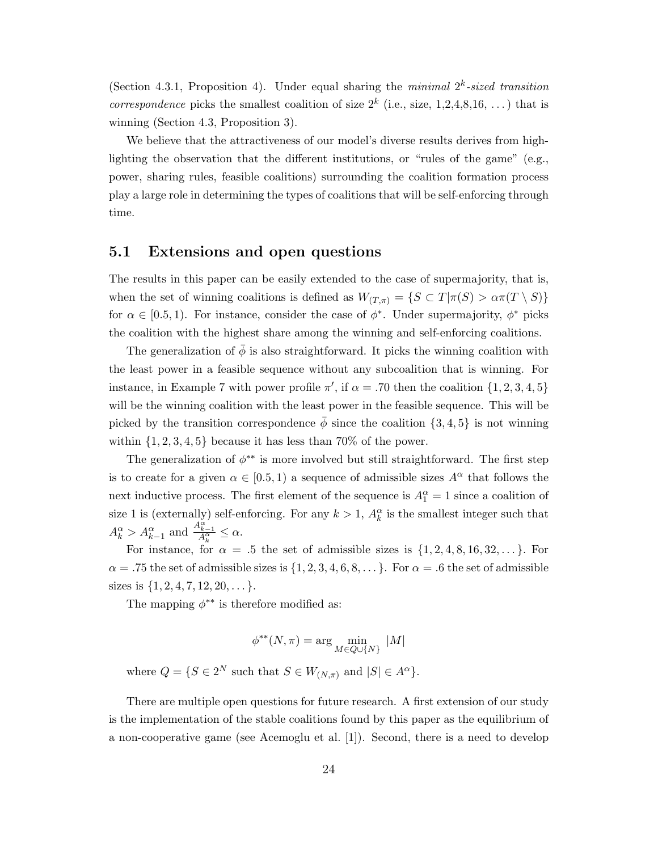(Section 4.3.1, Proposition 4). Under equal sharing the *minimal*  $2^k$ -sized transition *correspondence* picks the smallest coalition of size  $2^k$  (i.e., size, 1,2,4,8,16, ...) that is winning (Section 4.3, Proposition 3).

We believe that the attractiveness of our model's diverse results derives from highlighting the observation that the different institutions, or "rules of the game" (e.g., power, sharing rules, feasible coalitions) surrounding the coalition formation process play a large role in determining the types of coalitions that will be self-enforcing through time.

### 5.1 Extensions and open questions

The results in this paper can be easily extended to the case of supermajority, that is, when the set of winning coalitions is defined as  $W_{(T,\pi)} = \{S \subset T | \pi(S) > \alpha \pi(T \setminus S) \}$ for  $\alpha \in [0.5, 1)$ . For instance, consider the case of  $\phi^*$ . Under supermajority,  $\phi^*$  picks the coalition with the highest share among the winning and self-enforcing coalitions.

The generalization of  $\bar{\phi}$  is also straightforward. It picks the winning coalition with the least power in a feasible sequence without any subcoalition that is winning. For instance, in Example 7 with power profile  $\pi'$ , if  $\alpha = .70$  then the coalition  $\{1, 2, 3, 4, 5\}$ will be the winning coalition with the least power in the feasible sequence. This will be picked by the transition correspondence  $\phi$  since the coalition {3, 4, 5} is not winning within  $\{1, 2, 3, 4, 5\}$  because it has less than 70% of the power.

The generalization of  $\phi^{**}$  is more involved but still straightforward. The first step is to create for a given  $\alpha \in [0.5, 1)$  a sequence of admissible sizes  $A^{\alpha}$  that follows the next inductive process. The first element of the sequence is  $A_1^{\alpha} = 1$  since a coalition of size 1 is (externally) self-enforcing. For any  $k > 1$ ,  $A_k^{\alpha}$  is the smallest integer such that  $A_k^{\alpha} > A_{k-1}^{\alpha}$  and  $\frac{A_{k-1}^{\alpha}}{A_k^{\alpha}} \leq \alpha$ .

For instance, for  $\alpha = .5$  the set of admissible sizes is  $\{1, 2, 4, 8, 16, 32, \ldots\}$ . For  $\alpha = .75$  the set of admissible sizes is  $\{1, 2, 3, 4, 6, 8, \ldots\}$ . For  $\alpha = .6$  the set of admissible sizes is  $\{1, 2, 4, 7, 12, 20, \dots\}$ .

The mapping  $\phi^{**}$  is therefore modified as:

$$
\phi^{**}(N,\pi)=\arg\min_{M\in Q\cup\{N\}}\ |M|
$$

where  $Q = \{S \in 2^N \text{ such that } S \in W_{(N,\pi)} \text{ and } |S| \in A^{\alpha} \}.$ 

There are multiple open questions for future research. A first extension of our study is the implementation of the stable coalitions found by this paper as the equilibrium of a non-cooperative game (see Acemoglu et al. [1]). Second, there is a need to develop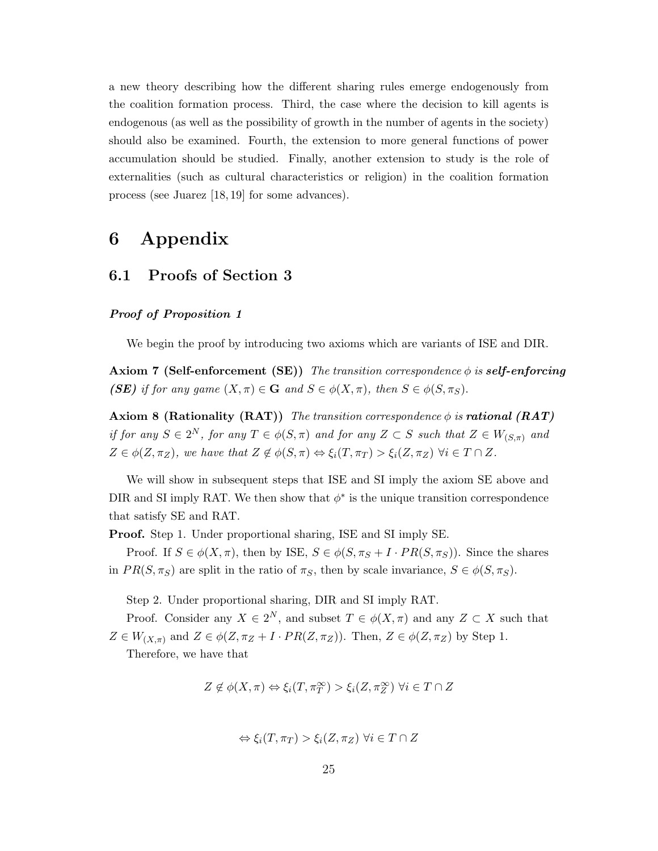a new theory describing how the different sharing rules emerge endogenously from the coalition formation process. Third, the case where the decision to kill agents is endogenous (as well as the possibility of growth in the number of agents in the society) should also be examined. Fourth, the extension to more general functions of power accumulation should be studied. Finally, another extension to study is the role of externalities (such as cultural characteristics or religion) in the coalition formation process (see Juarez [18, 19] for some advances).

# 6 Appendix

## 6.1 Proofs of Section 3

#### Proof of Proposition 1

We begin the proof by introducing two axioms which are variants of ISE and DIR.

Axiom 7 (Self-enforcement (SE)) The transition correspondence  $\phi$  is self-enforcing (SE) if for any game  $(X, \pi) \in \mathbf{G}$  and  $S \in \phi(X, \pi)$ , then  $S \in \phi(S, \pi_S)$ .

**Axiom 8 (Rationality (RAT))** The transition correspondence  $\phi$  is **rational (RAT)** if for any  $S \in 2^N$ , for any  $T \in \phi(S, \pi)$  and for any  $Z \subset S$  such that  $Z \in W_{(S, \pi)}$  and  $Z \in \phi(Z, \pi_Z)$ , we have that  $Z \notin \phi(S, \pi) \Leftrightarrow \xi_i(T, \pi_T) > \xi_i(Z, \pi_Z) \ \forall i \in T \cap Z$ .

We will show in subsequent steps that ISE and SI imply the axiom SE above and DIR and SI imply RAT. We then show that  $\phi^*$  is the unique transition correspondence that satisfy SE and RAT.

Proof. Step 1. Under proportional sharing, ISE and SI imply SE.

Proof. If  $S \in \phi(X, \pi)$ , then by ISE,  $S \in \phi(S, \pi_S + I \cdot PR(S, \pi_S))$ . Since the shares in  $PR(S, \pi_S)$  are split in the ratio of  $\pi_S$ , then by scale invariance,  $S \in \phi(S, \pi_S)$ .

Step 2. Under proportional sharing, DIR and SI imply RAT.

Proof. Consider any  $X \in 2^N$ , and subset  $T \in \phi(X, \pi)$  and any  $Z \subset X$  such that  $Z \in W_{(X,\pi)}$  and  $Z \in \phi(Z,\pi_Z + I \cdot PR(Z,\pi_Z))$ . Then,  $Z \in \phi(Z,\pi_Z)$  by Step 1.

Therefore, we have that

$$
Z \notin \phi(X,\pi) \Leftrightarrow \xi_i(T,\pi_T^{\infty}) > \xi_i(Z,\pi_Z^{\infty}) \,\,\forall i \in T \cap Z
$$

$$
\Leftrightarrow \xi_i(T, \pi_T) > \xi_i(Z, \pi_Z) \,\,\forall i \in T \cap Z
$$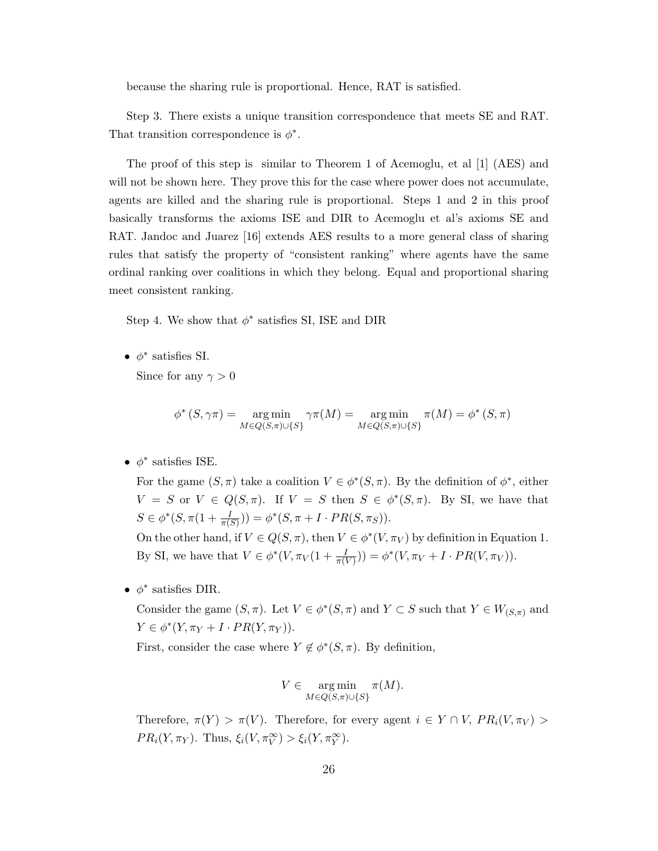because the sharing rule is proportional. Hence, RAT is satisfied.

Step 3. There exists a unique transition correspondence that meets SE and RAT. That transition correspondence is  $\phi^*$ .

The proof of this step is similar to Theorem 1 of Acemoglu, et al [1] (AES) and will not be shown here. They prove this for the case where power does not accumulate, agents are killed and the sharing rule is proportional. Steps 1 and 2 in this proof basically transforms the axioms ISE and DIR to Acemoglu et al's axioms SE and RAT. Jandoc and Juarez [16] extends AES results to a more general class of sharing rules that satisfy the property of "consistent ranking" where agents have the same ordinal ranking over coalitions in which they belong. Equal and proportional sharing meet consistent ranking.

Step 4. We show that  $\phi^*$  satisfies SI, ISE and DIR

•  $\phi^*$  satisfies SI.

Since for any  $\gamma > 0$ 

$$
\phi^* (S, \gamma \pi) = \underset{M \in Q(S, \pi) \cup \{S\}}{\arg \min} \gamma \pi(M) = \underset{M \in Q(S, \pi) \cup \{S\}}{\arg \min} \pi(M) = \phi^* (S, \pi)
$$

•  $\phi^*$  satisfies ISE.

For the game  $(S, \pi)$  take a coalition  $V \in \phi^*(S, \pi)$ . By the definition of  $\phi^*$ , either  $V = S$  or  $V \in Q(S, \pi)$ . If  $V = S$  then  $S \in \phi^*(S, \pi)$ . By SI, we have that  $S \in \phi^*(S, \pi(1 + \frac{I}{\pi(S)})) = \phi^*(S, \pi + I \cdot PR(S, \pi_S)).$ 

On the other hand, if  $V \in Q(S, \pi)$ , then  $V \in \phi^*(V, \pi_V)$  by definition in Equation 1. By SI, we have that  $V \in \phi^*(V, \pi_V(1 + \frac{I}{\pi(V)})) = \phi^*(V, \pi_V + I \cdot PR(V, \pi_V)).$ 

•  $\phi^*$  satisfies DIR.

Consider the game  $(S, \pi)$ . Let  $V \in \phi^*(S, \pi)$  and  $Y \subset S$  such that  $Y \in W_{(S,\pi)}$  and  $Y \in \phi^*(Y, \pi_Y + I \cdot PR(Y, \pi_Y)).$ 

First, consider the case where  $Y \notin \phi^*(S, \pi)$ . By definition,

$$
V \in \operatorname*{arg\,min}_{M \in Q(S,\pi) \cup \{S\}} \pi(M).
$$

Therefore,  $\pi(Y) > \pi(V)$ . Therefore, for every agent  $i \in Y \cap V$ ,  $PR_i(V, \pi_V)$  $PR_i(Y, \pi_Y)$ . Thus,  $\xi_i(V, \pi_Y^{\infty}) > \xi_i(Y, \pi_Y^{\infty})$ .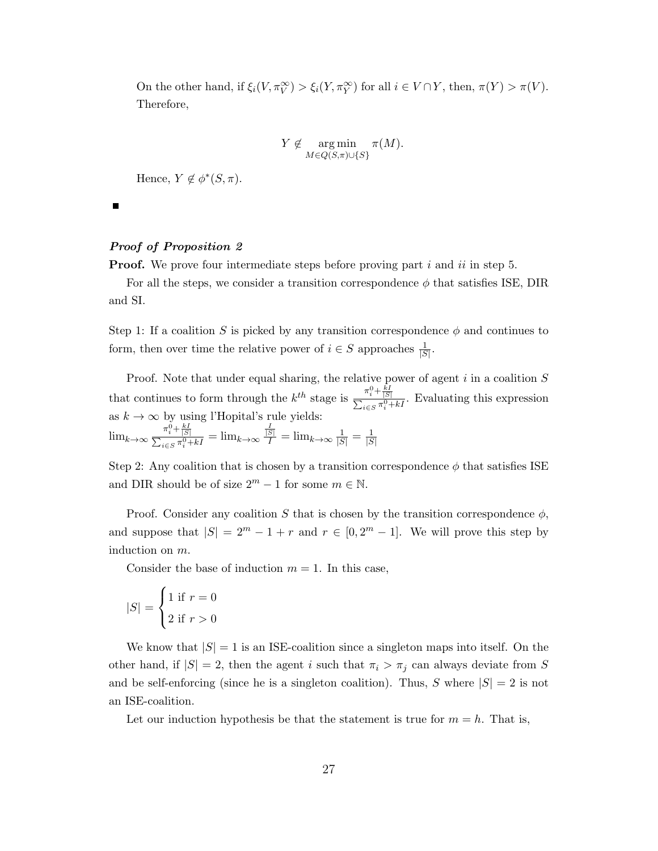On the other hand, if  $\xi_i(V, \pi_V^{\infty}) > \xi_i(Y, \pi_Y^{\infty})$  for all  $i \in V \cap Y$ , then,  $\pi(Y) > \pi(V)$ . Therefore,

$$
Y \not\in \operatorname*{arg\,min}_{M \in Q(S,\pi) \cup \{S\}} \pi(M).
$$

Hence,  $Y \notin \phi^*(S, \pi)$ .

 $\blacksquare$ 

#### Proof of Proposition 2

**Proof.** We prove four intermediate steps before proving part i and ii in step 5.

For all the steps, we consider a transition correspondence  $\phi$  that satisfies ISE, DIR and SI.

Step 1: If a coalition S is picked by any transition correspondence  $\phi$  and continues to form, then over time the relative power of  $i \in S$  approaches  $\frac{1}{|S|}$ .

Proof. Note that under equal sharing, the relative power of agent  $i$  in a coalition  $S$ that continues to form through the  $k^{th}$  stage is  $\frac{\pi_1^0 + \frac{kI}{|S|}}{\pi_2^0}$  $\frac{n_i + |S|}{\sum_{i \in S} \pi_i^0 + kI}$ . Evaluating this expression as  $k \to \infty$  by using l'Hopital's rule yields:

 $\lim_{k\to\infty} \frac{\pi_i^0 + \frac{kI}{|S|}}{\sum_{n\in\mathbb{Z}} n!}$  $\frac{n_i + |S|}{\sum_{i \in S} \pi_i^0 +}$  $\frac{\pi_i^0 + \frac{kI}{|S|}}{i \in S} \frac{1}{\pi_i^0 + kI} = \lim_{k \to \infty} \frac{\frac{I}{|S|}}{I} = \lim_{k \to \infty} \frac{1}{|S|} = \frac{1}{|S|}$  $|\overline{S}|$ 

Step 2: Any coalition that is chosen by a transition correspondence  $\phi$  that satisfies ISE and DIR should be of size  $2^m - 1$  for some  $m \in \mathbb{N}$ .

Proof. Consider any coalition S that is chosen by the transition correspondence  $\phi$ , and suppose that  $|S| = 2^m - 1 + r$  and  $r \in [0, 2^m - 1]$ . We will prove this step by induction on m.

Consider the base of induction  $m = 1$ . In this case,

$$
|S| = \begin{cases} 1 & \text{if } r = 0 \\ 2 & \text{if } r > 0 \end{cases}
$$

We know that  $|S| = 1$  is an ISE-coalition since a singleton maps into itself. On the other hand, if  $|S| = 2$ , then the agent i such that  $\pi_i > \pi_j$  can always deviate from S and be self-enforcing (since he is a singleton coalition). Thus, S where  $|S| = 2$  is not an ISE-coalition.

Let our induction hypothesis be that the statement is true for  $m = h$ . That is,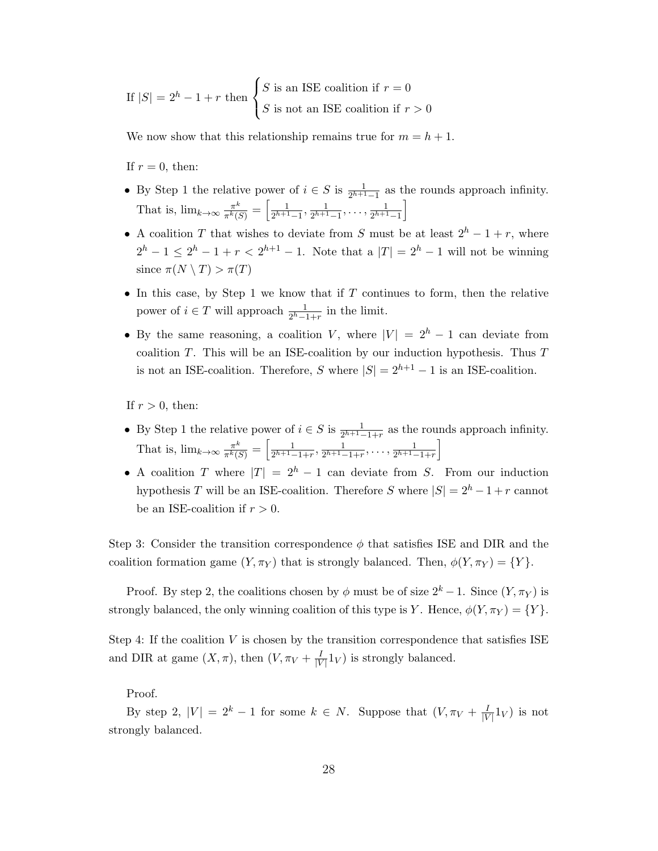If  $|S| = 2<sup>h</sup> - 1 + r$  then  $\sqrt{ }$  $\left\vert \right\vert$  $\mathcal{L}$ S is an ISE coalition if  $r = 0$ S is not an ISE coalition if  $r > 0$ 

We now show that this relationship remains true for  $m = h + 1$ .

If  $r = 0$ , then:

- By Step 1 the relative power of  $i \in S$  is  $\frac{1}{2^{h+1}-1}$  as the rounds approach infinity. That is,  $\lim_{k\to\infty} \frac{\pi^k}{\pi^k k!}$  $\frac{\pi^k}{\pi^k(S)}=\left[\frac{1}{2^{h+1}}\right]$  $\frac{1}{2^{h+1}-1}, \frac{1}{2^{h+1}}$  $\frac{1}{2^{h+1}-1}, \ldots, \frac{1}{2^{h+1}}$  $\frac{1}{2^{h+1}-1}$
- A coalition T that wishes to deviate from S must be at least  $2^h 1 + r$ , where  $2^{h} - 1 \leq 2^{h} - 1 + r < 2^{h+1} - 1$ . Note that a  $|T| = 2^{h} - 1$  will not be winning since  $\pi(N \setminus T) > \pi(T)$
- In this case, by Step 1 we know that if  $T$  continues to form, then the relative power of  $i \in T$  will approach  $\frac{1}{2^h-1+r}$  in the limit.
- By the same reasoning, a coalition V, where  $|V| = 2<sup>h</sup> 1$  can deviate from coalition  $T$ . This will be an ISE-coalition by our induction hypothesis. Thus  $T$ is not an ISE-coalition. Therefore, S where  $|S| = 2^{h+1} - 1$  is an ISE-coalition.

If  $r > 0$ , then:

- By Step 1 the relative power of  $i \in S$  is  $\frac{1}{2^{h+1}-1+r}$  as the rounds approach infinity. That is,  $\lim_{k\to\infty} \frac{\pi^k}{\pi^k}$  $\frac{\pi^k}{\pi^k(S)}=\left[\frac{1}{2^{h+1}-}\right]$  $\frac{1}{2^{h+1}-1+r}, \frac{1}{2^{h+1}-1}$  $\frac{1}{2^{h+1}-1+r}, \ldots, \frac{1}{2^{h+1}-1}$  $\frac{1}{2^{h+1}-1+r}$
- A coalition T where  $|T| = 2<sup>h</sup> 1$  can deviate from S. From our induction hypothesis T will be an ISE-coalition. Therefore S where  $|S| = 2<sup>h</sup> - 1 + r$  cannot be an ISE-coalition if  $r > 0$ .

Step 3: Consider the transition correspondence  $\phi$  that satisfies ISE and DIR and the coalition formation game  $(Y, \pi_Y)$  that is strongly balanced. Then,  $\phi(Y, \pi_Y) = \{Y\}.$ 

Proof. By step 2, the coalitions chosen by  $\phi$  must be of size  $2^k - 1$ . Since  $(Y, \pi_Y)$  is strongly balanced, the only winning coalition of this type is Y. Hence,  $\phi(Y,\pi_Y) = \{Y\}.$ 

Step 4: If the coalition V is chosen by the transition correspondence that satisfies ISE and DIR at game  $(X, \pi)$ , then  $(V, \pi_V + \frac{I}{W})$  $\frac{1}{|V|}1_V$  is strongly balanced.

Proof.

By step 2,  $|V| = 2^k - 1$  for some  $k \in N$ . Suppose that  $(V, \pi_V + \frac{1}{|V|})$  $\frac{1}{|V|}1_V$ ) is not strongly balanced.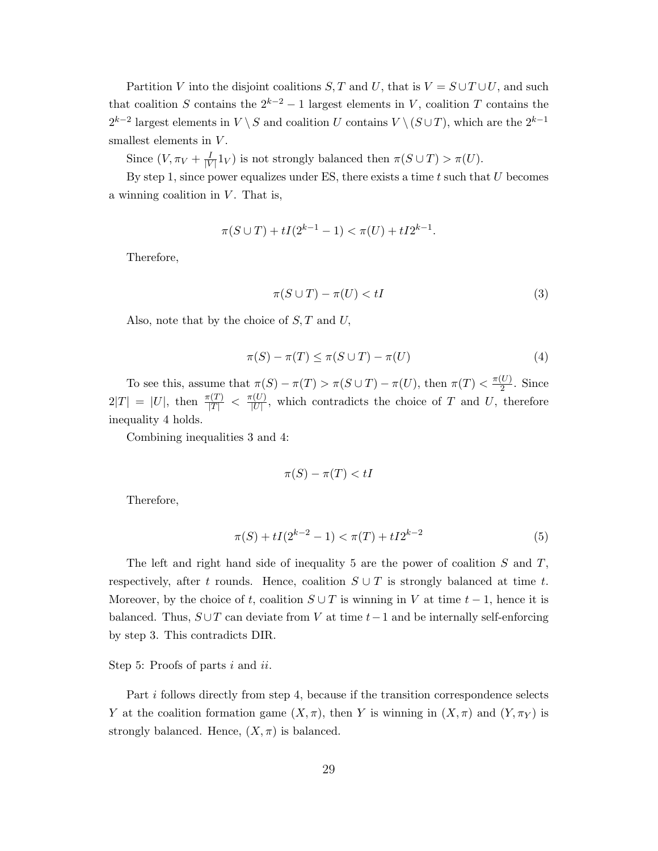Partition V into the disjoint coalitions S, T and U, that is  $V = S \cup T \cup U$ , and such that coalition S contains the  $2^{k-2} - 1$  largest elements in V, coalition T contains the  $2^{k-2}$  largest elements in  $V \setminus S$  and coalition U contains  $V \setminus (S \cup T)$ , which are the  $2^{k-1}$ smallest elements in  $V$ .

Since  $(V, \pi_V + \frac{I}{|V|})$  $\frac{1}{|V|}1_V$  is not strongly balanced then  $\pi(S \cup T) > \pi(U)$ .

By step 1, since power equalizes under ES, there exists a time  $t$  such that  $U$  becomes a winning coalition in  $V$ . That is,

$$
\pi(S \cup T) + tI(2^{k-1} - 1) < \pi(U) + tI2^{k-1}.
$$

Therefore,

$$
\pi(S \cup T) - \pi(U) < tI \tag{3}
$$

Also, note that by the choice of  $S, T$  and  $U$ ,

$$
\pi(S) - \pi(T) \le \pi(S \cup T) - \pi(U) \tag{4}
$$

To see this, assume that  $\pi(S) - \pi(T) > \pi(S \cup T) - \pi(U)$ , then  $\pi(T) < \frac{\pi(U)}{2}$  $\frac{\omega}{2}$ . Since  $2|T| = |U|$ , then  $\frac{\pi(T)}{|T|} < \frac{\pi(U)}{|U|}$  $\frac{U(U)}{|U|}$ , which contradicts the choice of T and U, therefore inequality 4 holds.

Combining inequalities 3 and 4:

$$
\pi(S) - \pi(T) < tI
$$

Therefore,

$$
\pi(S) + tI(2^{k-2} - 1) < \pi(T) + tI2^{k-2} \tag{5}
$$

The left and right hand side of inequality 5 are the power of coalition  $S$  and  $T$ , respectively, after t rounds. Hence, coalition  $S \cup T$  is strongly balanced at time t. Moreover, by the choice of t, coalition  $S \cup T$  is winning in V at time  $t-1$ , hence it is balanced. Thus,  $S \cup T$  can deviate from V at time  $t-1$  and be internally self-enforcing by step 3. This contradicts DIR.

Step 5: Proofs of parts i and ii.

Part i follows directly from step 4, because if the transition correspondence selects Y at the coalition formation game  $(X, \pi)$ , then Y is winning in  $(X, \pi)$  and  $(Y, \pi_Y)$  is strongly balanced. Hence,  $(X, \pi)$  is balanced.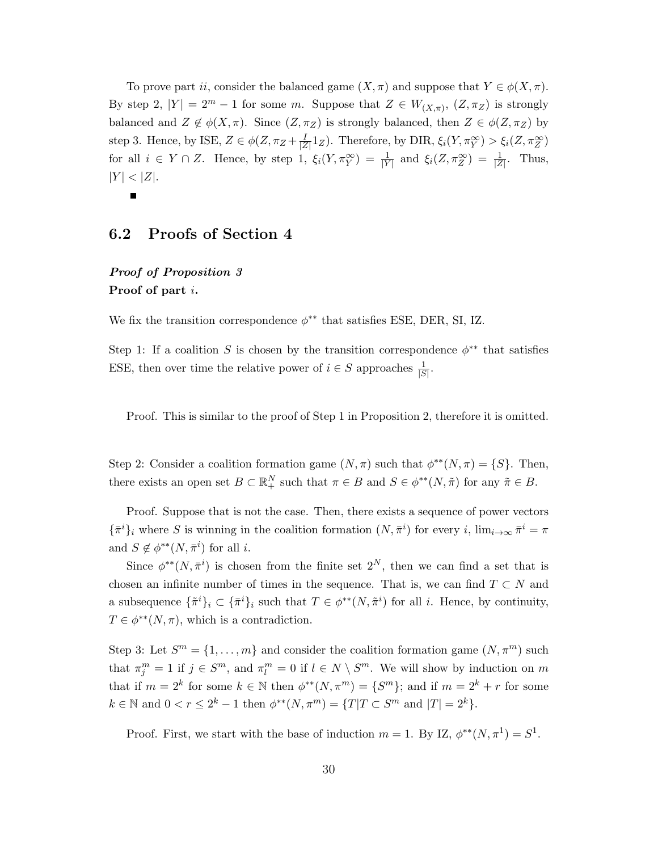To prove part ii, consider the balanced game  $(X, \pi)$  and suppose that  $Y \in \phi(X, \pi)$ . By step 2,  $|Y| = 2^m - 1$  for some m. Suppose that  $Z \in W_{(X,\pi)}, (Z,\pi_Z)$  is strongly balanced and  $Z \notin \phi(X, \pi)$ . Since  $(Z, \pi_Z)$  is strongly balanced, then  $Z \in \phi(Z, \pi_Z)$  by step 3. Hence, by ISE,  $Z \in \phi(Z, \pi_Z + \frac{1}{|Z|})$  $\frac{I}{|Z|}1_Z$ ). Therefore, by DIR,  $\xi_i(Y, \pi_Y^{\infty}) > \xi_i(Z, \pi_Z^{\infty})$ for all  $i \in Y \cap Z$ . Hence, by step 1,  $\xi_i(Y, \pi_Y^{\infty}) = \frac{1}{|Y|}$  and  $\xi_i(Z, \pi_Z^{\infty}) = \frac{1}{|Z|}$ . Thus,  $|Y| < |Z|$ .  $\blacksquare$ 

### 6.2 Proofs of Section 4

# Proof of Proposition 3 Proof of part i.

We fix the transition correspondence  $\phi^{**}$  that satisfies ESE, DER, SI, IZ.

Step 1: If a coalition S is chosen by the transition correspondence  $\phi^{**}$  that satisfies ESE, then over time the relative power of  $i \in S$  approaches  $\frac{1}{|S|}$ .

Proof. This is similar to the proof of Step 1 in Proposition 2, therefore it is omitted.

Step 2: Consider a coalition formation game  $(N, \pi)$  such that  $\phi^{**}(N, \pi) = \{S\}$ . Then, there exists an open set  $B \subset \mathbb{R}^N_+$  such that  $\pi \in B$  and  $S \in \phi^{**}(N, \tilde{\pi})$  for any  $\tilde{\pi} \in B$ .

Proof. Suppose that is not the case. Then, there exists a sequence of power vectors  $\{\bar{\pi}^i\}_i$  where S is winning in the coalition formation  $(N, \bar{\pi}^i)$  for every i,  $\lim_{i \to \infty} \bar{\pi}^i = \pi$ and  $S \notin \phi^{**}(N, \bar{\pi}^i)$  for all *i*.

Since  $\phi^{**}(N, \bar{\pi}^i)$  is chosen from the finite set  $2^N$ , then we can find a set that is chosen an infinite number of times in the sequence. That is, we can find  $T \subset N$  and a subsequence  $\{\tilde{\pi}^i\}_i \subset \{\bar{\pi}^i\}_i$  such that  $T \in \phi^{**}(N, \tilde{\pi}^i)$  for all i. Hence, by continuity,  $T \in \phi^{**}(N, \pi)$ , which is a contradiction.

Step 3: Let  $S^m = \{1, \ldots, m\}$  and consider the coalition formation game  $(N, \pi^m)$  such that  $\pi_j^m = 1$  if  $j \in S^m$ , and  $\pi_l^m = 0$  if  $l \in N \setminus S^m$ . We will show by induction on m that if  $m = 2^k$  for some  $k \in \mathbb{N}$  then  $\phi^{**}(N, \pi^m) = \{S^m\}$ ; and if  $m = 2^k + r$  for some  $k \in \mathbb{N}$  and  $0 < r \leq 2^k - 1$  then  $\phi^{**}(N, \pi^m) = \{T | T \subset S^m \text{ and } |T| = 2^k\}.$ 

Proof. First, we start with the base of induction  $m = 1$ . By IZ,  $\phi^{**}(N, \pi^1) = S^1$ .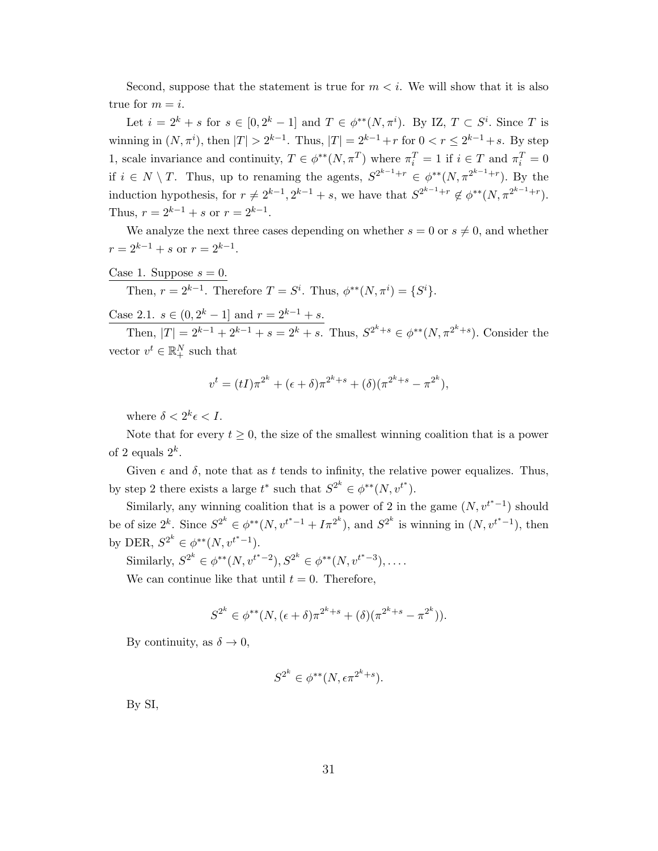Second, suppose that the statement is true for  $m < i$ . We will show that it is also true for  $m = i$ .

Let  $i = 2^k + s$  for  $s \in [0, 2^k - 1]$  and  $T \in \phi^{**}(N, \pi^i)$ . By IZ,  $T \subset S^i$ . Since T is winning in  $(N, \pi^i)$ , then  $|T| > 2^{k-1}$ . Thus,  $|T| = 2^{k-1} + r$  for  $0 < r \le 2^{k-1} + s$ . By step 1, scale invariance and continuity,  $T \in \phi^{**}(N, \pi^T)$  where  $\pi_i^T = 1$  if  $i \in T$  and  $\pi_i^T = 0$ if  $i \in N \setminus T$ . Thus, up to renaming the agents,  $S^{2^{k-1}+r} \in \phi^{**}(N, \pi^{2^{k-1}+r})$ . By the induction hypothesis, for  $r \neq 2^{k-1}$ ,  $2^{k-1} + s$ , we have that  $S^{2^{k-1}+r} \notin \phi^{**}(N, \pi^{2^{k-1}+r})$ . Thus,  $r = 2^{k-1} + s$  or  $r = 2^{k-1}$ .

We analyze the next three cases depending on whether  $s = 0$  or  $s \neq 0$ , and whether  $r = 2^{k-1} + s$  or  $r = 2^{k-1}$ .

Case 1. Suppose 
$$
s = 0
$$
.  
Then,  $r = 2^{k-1}$ . Therefore  $T = S^i$ . Thus,  $\phi^{**}(N, \pi^i) = \{S^i\}$ .

Case 2.1.  $s \in (0, 2^k - 1]$  and  $r = 2^{k-1} + s$ .

Then,  $|T| = 2^{k-1} + 2^{k-1} + s = 2^k + s$ . Thus,  $S^{2^k+s} \in \phi^{**}(N, \pi^{2^k+s})$ . Consider the vector  $v^t \in \mathbb{R}^N_+$  such that

$$
v^{t} = (tI)\pi^{2^{k}} + (\epsilon + \delta)\pi^{2^{k}+s} + (\delta)(\pi^{2^{k}+s} - \pi^{2^{k}}),
$$

where  $\delta < 2^k \epsilon < I$ .

Note that for every  $t \geq 0$ , the size of the smallest winning coalition that is a power of 2 equals  $2^k$ .

Given  $\epsilon$  and  $\delta$ , note that as t tends to infinity, the relative power equalizes. Thus, by step 2 there exists a large  $t^*$  such that  $S^{2^k} \in \phi^{**}(N, v^{t^*})$ .

Similarly, any winning coalition that is a power of 2 in the game  $(N, v^{t^*}-1)$  should be of size  $2^k$ . Since  $S^{2^k} \in \phi^{**}(N, v^{t^*-1} + I\pi^{2^k})$ , and  $S^{2^k}$  is winning in  $(N, v^{t^*-1})$ , then by DER,  $S^{2^k} \in \phi^{**}(N, v^{t^*-1})$ .

Similarly,  $S^{2^k} \in \phi^{**}(N, v^{t^*-2}), S^{2^k} \in \phi^{**}(N, v^{t^*-3}), \dots$ 

We can continue like that until  $t = 0$ . Therefore,

$$
S^{2^k} \in \phi^{**}(N, (\epsilon + \delta)\pi^{2^k + s} + (\delta)(\pi^{2^k + s} - \pi^{2^k})).
$$

By continuity, as  $\delta \to 0$ ,

$$
S^{2^k} \in \phi^{**}(N, \epsilon \pi^{2^k+s}).
$$

By SI,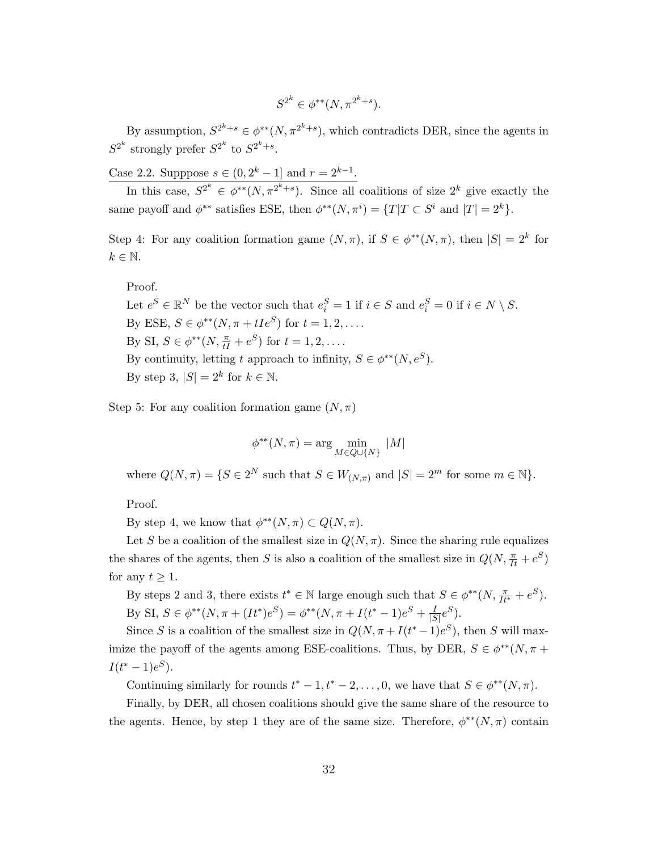$$
S^{2^k} \in \phi^{**}(N, \pi^{2^k+s}).
$$

By assumption,  $S^{2^k+s} \in \phi^{**}(N, \pi^{2^k+s})$ , which contradicts DER, since the agents in  $S^{2^k}$  strongly prefer  $S^{2^k}$  to  $S^{2^k+s}$ .

Case 2.2. Supppose  $s \in (0, 2^k - 1]$  and  $r = 2^{k-1}$ .

In this case,  $S^{2^k} \in \phi^{**}(N, \pi^{2^k+s})$ . Since all coalitions of size  $2^k$  give exactly the same payoff and  $\phi^{**}$  satisfies ESE, then  $\phi^{**}(N, \pi^i) = \{T | T \subset S^i \text{ and } |T| = 2^k\}.$ 

Step 4: For any coalition formation game  $(N, \pi)$ , if  $S \in \phi^{**}(N, \pi)$ , then  $|S| = 2^k$  for  $k \in \mathbb{N}$ .

Proof.

Let  $e^S \in \mathbb{R}^N$  be the vector such that  $e_i^S = 1$  if  $i \in S$  and  $e_i^S = 0$  if  $i \in N \setminus S$ . By ESE,  $S \in \phi^{**}(N, \pi + tIe^{S})$  for  $t = 1, 2, \dots$ . By SI,  $S \in \phi^{**}(N, \frac{\pi}{tI} + e^S)$  for  $t = 1, 2, \dots$ . By continuity, letting t approach to infinity,  $S \in \phi^{**}(N, e^S)$ . By step 3,  $|S| = 2^k$  for  $k \in \mathbb{N}$ .

Step 5: For any coalition formation game  $(N, \pi)$ 

$$
\phi^{**}(N,\pi) = \arg\min_{M \in Q \cup \{N\}} |M|
$$

where  $Q(N, \pi) = \{S \in 2^N \text{ such that } S \in W_{(N, \pi)} \text{ and } |S| = 2^m \text{ for some } m \in \mathbb{N}\}.$ 

Proof.

By step 4, we know that  $\phi^{**}(N,\pi) \subset Q(N,\pi)$ .

Let S be a coalition of the smallest size in  $Q(N, \pi)$ . Since the sharing rule equalizes the shares of the agents, then S is also a coalition of the smallest size in  $Q(N, \frac{\pi}{It} + e^S)$ for any  $t \geq 1$ .

By steps 2 and 3, there exists  $t^* \in \mathbb{N}$  large enough such that  $S \in \phi^{**}(N, \frac{\pi}{It^*} + e^S)$ . By SI,  $S \in \phi^{**}(N, \pi + (It^*)e^S) = \phi^{**}(N, \pi + I(t^*-1)e^S + \frac{I}{15})$  $\frac{I}{|S|}e^S$ ).

Since S is a coalition of the smallest size in  $Q(N, \pi + I(t^* - 1)e^S)$ , then S will maximize the payoff of the agents among ESE-coalitions. Thus, by DER,  $S \in \phi^{**}(N, \pi +$  $I(t^*-1)e^S$ ).

Continuing similarly for rounds  $t^* - 1, t^* - 2, \ldots, 0$ , we have that  $S \in \phi^{**}(N, \pi)$ .

Finally, by DER, all chosen coalitions should give the same share of the resource to the agents. Hence, by step 1 they are of the same size. Therefore,  $\phi^{**}(N, \pi)$  contain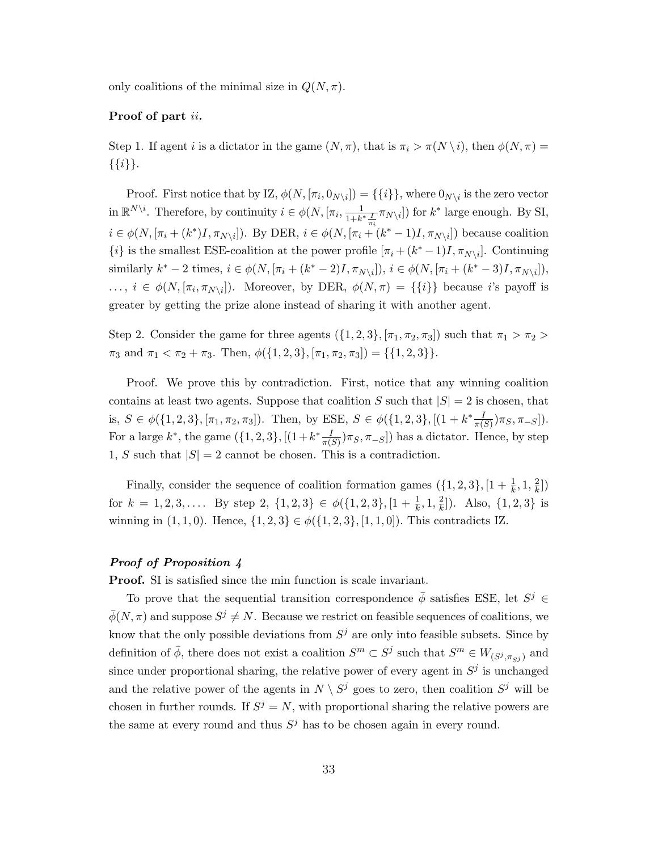only coalitions of the minimal size in  $Q(N, \pi)$ .

#### Proof of part ii.

Step 1. If agent i is a dictator in the game  $(N, \pi)$ , that is  $\pi_i > \pi(N \setminus i)$ , then  $\phi(N, \pi) =$  $\{\{i\}\}.$ 

Proof. First notice that by IZ,  $\phi(N, [\pi_i, 0_{N\setminus i}]) = \{\{i\}\}\,$ , where  $0_{N\setminus i}$  is the zero vector in  $\mathbb{R}^{N\setminus i}$ . Therefore, by continuity  $i \in \phi(N, [\pi_i, \frac{1}{1+k}]$  $\frac{1}{1+k^*\frac{I}{\pi_i}}\pi_{N\setminus i}]$  for  $k^*$  large enough. By SI,  $i \in \phi(N, [\pi_i + (k^*)I, \pi_{N\setminus i}])$ . By DER,  $i \in \phi(N, [\pi_i + (k^*-1)I, \pi_{N\setminus i}])$  because coalition  $\{i\}$  is the smallest ESE-coalition at the power profile  $[\pi_i + (k^* - 1)I, \pi_{N\setminus i}]$ . Continuing similarly  $k^* - 2$  times,  $i \in \phi(N, [\pi_i + (k^* - 2)I, \pi_{N \setminus i}]), i \in \phi(N, [\pi_i + (k^* - 3)I, \pi_{N \setminus i}]),$  $\ldots, i \in \phi(N, [\pi_i, \pi_{N\setminus i}]).$  Moreover, by DER,  $\phi(N, \pi) = {\{i\}}$  because i's payoff is greater by getting the prize alone instead of sharing it with another agent.

Step 2. Consider the game for three agents  $({1, 2, 3}, [\pi_1, \pi_2, \pi_3])$  such that  $\pi_1 > \pi_2$  $\pi_3$  and  $\pi_1 < \pi_2 + \pi_3$ . Then,  $\phi({1, 2, 3}, [\pi_1, \pi_2, \pi_3]) = {\{1, 2, 3\}}$ .

Proof. We prove this by contradiction. First, notice that any winning coalition contains at least two agents. Suppose that coalition S such that  $|S| = 2$  is chosen, that is,  $S \in \phi({1, 2, 3}, [\pi_1, \pi_2, \pi_3])$ . Then, by ESE,  $S \in \phi({1, 2, 3}, [1 + k^* \frac{I}{\pi(S)}) \pi_S, \pi_{-S}])$ . For a large  $k^*$ , the game  $(\{1,2,3\},[(1+k^*\frac{I}{\pi(S)})\pi_S,\pi_{-S}])$  has a dictator. Hence, by step 1, S such that  $|S| = 2$  cannot be chosen. This is a contradiction.

Finally, consider the sequence of coalition formation games  $({1, 2, 3}, [1 + \frac{1}{k}, 1, \frac{2}{k})$  $\frac{2}{k}]$ for  $k = 1, 2, 3, \ldots$  By step 2,  $\{1, 2, 3\} \in \phi(\{1, 2, 3\}, [1 + \frac{1}{k}, 1, \frac{2}{k})$  $\frac{2}{k}]$ ). Also,  $\{1, 2, 3\}$  is winning in  $(1, 1, 0)$ . Hence,  $\{1, 2, 3\} \in \phi({1, 2, 3}, [1, 1, 0])$ . This contradicts IZ.

#### Proof of Proposition 4

Proof. SI is satisfied since the min function is scale invariant.

To prove that the sequential transition correspondence  $\bar{\phi}$  satisfies ESE, let  $S^j \in$  $\bar{\phi}(N,\pi)$  and suppose  $S^j \neq N$ . Because we restrict on feasible sequences of coalitions, we know that the only possible deviations from  $S^j$  are only into feasible subsets. Since by definition of  $\bar{\phi}$ , there does not exist a coalition  $S^m \subset S^j$  such that  $S^m \in W_{(S^j, \pi_{S^j})}$  and since under proportional sharing, the relative power of every agent in  $S^j$  is unchanged and the relative power of the agents in  $N \setminus S^j$  goes to zero, then coalition  $S^j$  will be chosen in further rounds. If  $S^j = N$ , with proportional sharing the relative powers are the same at every round and thus  $S^j$  has to be chosen again in every round.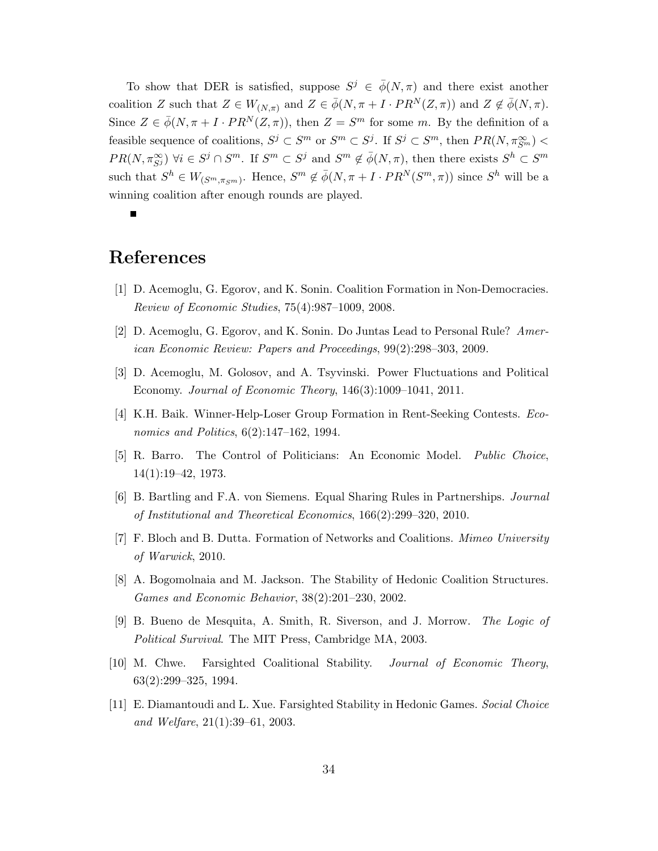To show that DER is satisfied, suppose  $S^j \in \bar{\phi}(N,\pi)$  and there exist another coalition Z such that  $Z \in W_{(N,\pi)}$  and  $Z \in \bar{\phi}(N,\pi+I\cdot PR^N(Z,\pi))$  and  $Z \notin \bar{\phi}(N,\pi)$ . Since  $Z \in \bar{\phi}(N, \pi + I \cdot PR^N(Z, \pi))$ , then  $Z = S^m$  for some m. By the definition of a feasible sequence of coalitions,  $S^j \subset S^m$  or  $S^m \subset S^j$ . If  $S^j \subset S^m$ , then  $PR(N, \pi_{S^m}^{\infty})$  $PR(N, \pi_{S^j}^{\infty}) \ \forall i \in S^j \cap S^m$ . If  $S^m \subset S^j$  and  $S^m \notin \bar{\phi}(N, \pi)$ , then there exists  $S^h \subset S^m$ such that  $S^h \in W_{(S^m, \pi_{S^m})}$ . Hence,  $S^m \notin \overline{\phi}(N, \pi + I \cdot PR^N(S^m, \pi))$  since  $S^h$  will be a winning coalition after enough rounds are played.

 $\blacksquare$ 

# References

- [1] D. Acemoglu, G. Egorov, and K. Sonin. Coalition Formation in Non-Democracies. Review of Economic Studies, 75(4):987–1009, 2008.
- [2] D. Acemoglu, G. Egorov, and K. Sonin. Do Juntas Lead to Personal Rule? American Economic Review: Papers and Proceedings, 99(2):298–303, 2009.
- [3] D. Acemoglu, M. Golosov, and A. Tsyvinski. Power Fluctuations and Political Economy. Journal of Economic Theory, 146(3):1009–1041, 2011.
- [4] K.H. Baik. Winner-Help-Loser Group Formation in Rent-Seeking Contests. Economics and Politics, 6(2):147–162, 1994.
- [5] R. Barro. The Control of Politicians: An Economic Model. Public Choice, 14(1):19–42, 1973.
- [6] B. Bartling and F.A. von Siemens. Equal Sharing Rules in Partnerships. Journal of Institutional and Theoretical Economics, 166(2):299–320, 2010.
- [7] F. Bloch and B. Dutta. Formation of Networks and Coalitions. Mimeo University of Warwick, 2010.
- [8] A. Bogomolnaia and M. Jackson. The Stability of Hedonic Coalition Structures. Games and Economic Behavior, 38(2):201–230, 2002.
- [9] B. Bueno de Mesquita, A. Smith, R. Siverson, and J. Morrow. The Logic of Political Survival. The MIT Press, Cambridge MA, 2003.
- [10] M. Chwe. Farsighted Coalitional Stability. Journal of Economic Theory, 63(2):299–325, 1994.
- [11] E. Diamantoudi and L. Xue. Farsighted Stability in Hedonic Games. Social Choice and Welfare, 21(1):39–61, 2003.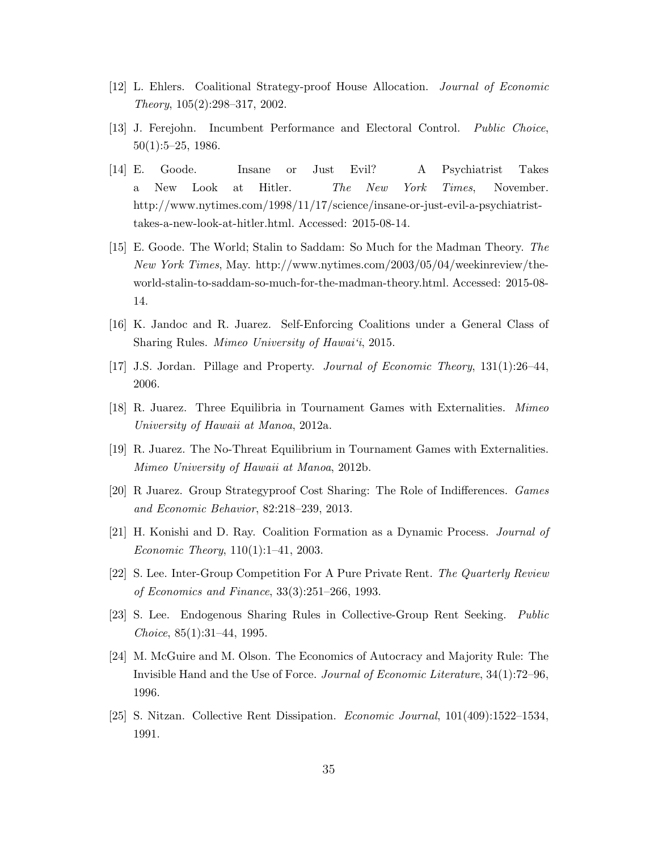- [12] L. Ehlers. Coalitional Strategy-proof House Allocation. Journal of Economic Theory, 105(2):298–317, 2002.
- [13] J. Ferejohn. Incumbent Performance and Electoral Control. Public Choice, 50(1):5–25, 1986.
- [14] E. Goode. Insane or Just Evil? A Psychiatrist Takes a New Look at Hitler. The New York Times, November. http://www.nytimes.com/1998/11/17/science/insane-or-just-evil-a-psychiatristtakes-a-new-look-at-hitler.html. Accessed: 2015-08-14.
- [15] E. Goode. The World; Stalin to Saddam: So Much for the Madman Theory. The New York Times, May. http://www.nytimes.com/2003/05/04/weekinreview/theworld-stalin-to-saddam-so-much-for-the-madman-theory.html. Accessed: 2015-08- 14.
- [16] K. Jandoc and R. Juarez. Self-Enforcing Coalitions under a General Class of Sharing Rules. Mimeo University of Hawai'i, 2015.
- [17] J.S. Jordan. Pillage and Property. Journal of Economic Theory, 131(1):26–44, 2006.
- [18] R. Juarez. Three Equilibria in Tournament Games with Externalities. Mimeo University of Hawaii at Manoa, 2012a.
- [19] R. Juarez. The No-Threat Equilibrium in Tournament Games with Externalities. Mimeo University of Hawaii at Manoa, 2012b.
- [20] R Juarez. Group Strategyproof Cost Sharing: The Role of Indifferences. Games and Economic Behavior, 82:218–239, 2013.
- [21] H. Konishi and D. Ray. Coalition Formation as a Dynamic Process. Journal of Economic Theory, 110(1):1–41, 2003.
- [22] S. Lee. Inter-Group Competition For A Pure Private Rent. The Quarterly Review of Economics and Finance, 33(3):251–266, 1993.
- [23] S. Lee. Endogenous Sharing Rules in Collective-Group Rent Seeking. Public Choice, 85(1):31–44, 1995.
- [24] M. McGuire and M. Olson. The Economics of Autocracy and Majority Rule: The Invisible Hand and the Use of Force. Journal of Economic Literature, 34(1):72–96, 1996.
- [25] S. Nitzan. Collective Rent Dissipation. Economic Journal, 101(409):1522–1534, 1991.